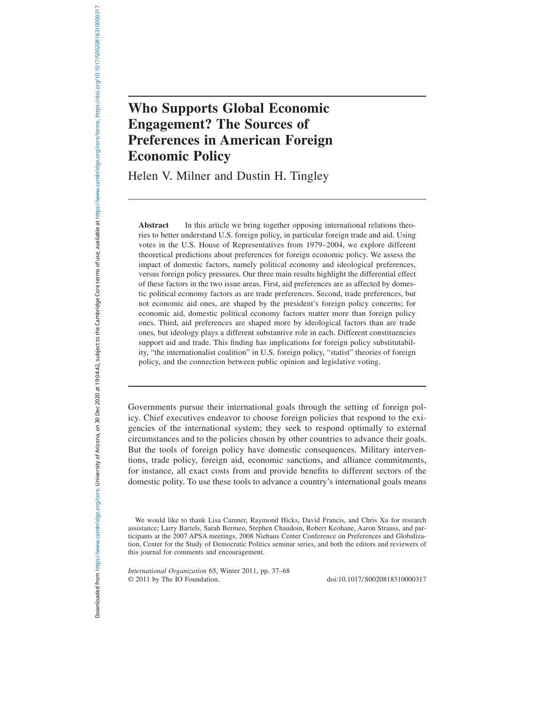# **Who Supports Global Economic Engagement? The Sources of Preferences in American Foreign Economic Policy**

Helen V. Milner and Dustin H. Tingley

**Abstract** In this article we bring together opposing international relations theories to better understand U.S. foreign policy, in particular foreign trade and aid. Using votes in the U.S. House of Representatives from 1979–2004, we explore different theoretical predictions about preferences for foreign economic policy+ We assess the impact of domestic factors, namely political economy and ideological preferences, versus foreign policy pressures. Our three main results highlight the differential effect of these factors in the two issue areas. First, aid preferences are as affected by domestic political economy factors as are trade preferences. Second, trade preferences, but not economic aid ones, are shaped by the president's foreign policy concerns; for economic aid, domestic political economy factors matter more than foreign policy ones+ Third, aid preferences are shaped more by ideological factors than are trade ones, but ideology plays a different substantive role in each+ Different constituencies support aid and trade. This finding has implications for foreign policy substitutability, "the internationalist coalition" in U.S. foreign policy, "statist" theories of foreign policy, and the connection between public opinion and legislative voting.

Governments pursue their international goals through the setting of foreign policy. Chief executives endeavor to choose foreign policies that respond to the exigencies of the international system; they seek to respond optimally to external circumstances and to the policies chosen by other countries to advance their goals+ But the tools of foreign policy have domestic consequences. Military interventions, trade policy, foreign aid, economic sanctions, and alliance commitments, for instance, all exact costs from and provide benefits to different sectors of the domestic polity. To use these tools to advance a country's international goals means

*International Organization* 65, Winter 2011, pp. 37–68 © 2011 by The IO Foundation.

We would like to thank Lisa Camner, Raymond Hicks, David Francis, and Chris Xu for research assistance; Larry Bartels, Sarah Bermeo, Stephen Chaudoin, Robert Keohane, Aaron Strauss, and participants at the 2007 APSA meetings, 2008 Niehaus Center Conference on Preferences and Globalization, Center for the Study of Democratic Politics seminar series, and both the editors and reviewers of this journal for comments and encouragement.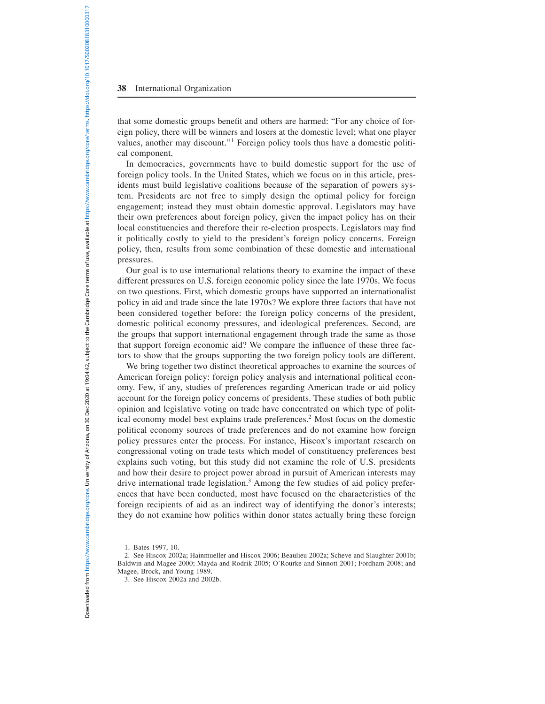that some domestic groups benefit and others are harmed: "For any choice of foreign policy, there will be winners and losers at the domestic level; what one player values, another may discount."<sup>1</sup> Foreign policy tools thus have a domestic political component.

In democracies, governments have to build domestic support for the use of foreign policy tools. In the United States, which we focus on in this article, presidents must build legislative coalitions because of the separation of powers system. Presidents are not free to simply design the optimal policy for foreign engagement; instead they must obtain domestic approval. Legislators may have their own preferences about foreign policy, given the impact policy has on their local constituencies and therefore their re-election prospects. Legislators may find it politically costly to yield to the president's foreign policy concerns. Foreign policy, then, results from some combination of these domestic and international pressures.

Our goal is to use international relations theory to examine the impact of these different pressures on U.S. foreign economic policy since the late 1970s. We focus on two questions. First, which domestic groups have supported an internationalist policy in aid and trade since the late 1970s? We explore three factors that have not been considered together before: the foreign policy concerns of the president, domestic political economy pressures, and ideological preferences. Second, are the groups that support international engagement through trade the same as those that support foreign economic aid? We compare the influence of these three factors to show that the groups supporting the two foreign policy tools are different.

We bring together two distinct theoretical approaches to examine the sources of American foreign policy: foreign policy analysis and international political economy. Few, if any, studies of preferences regarding American trade or aid policy account for the foreign policy concerns of presidents. These studies of both public opinion and legislative voting on trade have concentrated on which type of political economy model best explains trade preferences.<sup>2</sup> Most focus on the domestic political economy sources of trade preferences and do not examine how foreign policy pressures enter the process. For instance, Hiscox's important research on congressional voting on trade tests which model of constituency preferences best explains such voting, but this study did not examine the role of U.S. presidents and how their desire to project power abroad in pursuit of American interests may drive international trade legislation.<sup>3</sup> Among the few studies of aid policy preferences that have been conducted, most have focused on the characteristics of the foreign recipients of aid as an indirect way of identifying the donor's interests; they do not examine how politics within donor states actually bring these foreign

<sup>1.</sup> Bates 1997, 10.

<sup>2.</sup> See Hiscox 2002a; Hainmueller and Hiscox 2006; Beaulieu 2002a; Scheve and Slaughter 2001b; Baldwin and Magee 2000; Mayda and Rodrik 2005; O'Rourke and Sinnott 2001; Fordham 2008; and Magee, Brock, and Young 1989.

<sup>3.</sup> See Hiscox 2002a and 2002b.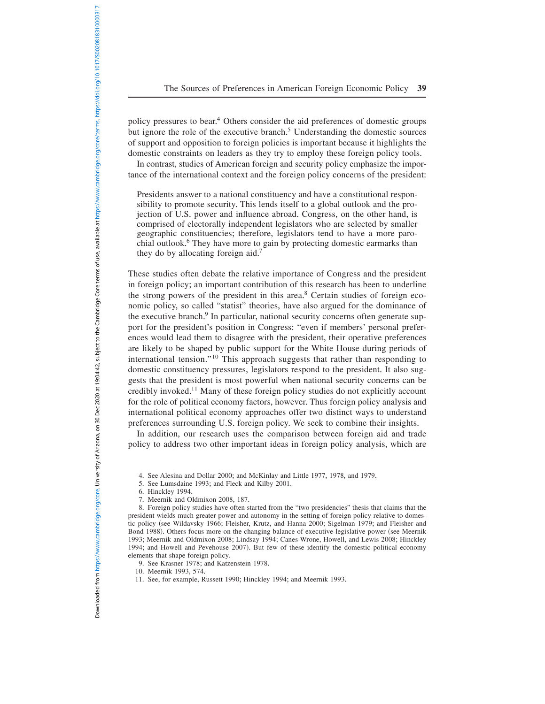policy pressures to bear.<sup>4</sup> Others consider the aid preferences of domestic groups but ignore the role of the executive branch.<sup>5</sup> Understanding the domestic sources of support and opposition to foreign policies is important because it highlights the domestic constraints on leaders as they try to employ these foreign policy tools+

In contrast, studies of American foreign and security policy emphasize the importance of the international context and the foreign policy concerns of the president:

Presidents answer to a national constituency and have a constitutional responsibility to promote security. This lends itself to a global outlook and the projection of U.S. power and influence abroad. Congress, on the other hand, is comprised of electorally independent legislators who are selected by smaller geographic constituencies; therefore, legislators tend to have a more parochial outlook.<sup>6</sup> They have more to gain by protecting domestic earmarks than they do by allocating foreign aid.<sup>7</sup>

These studies often debate the relative importance of Congress and the president in foreign policy; an important contribution of this research has been to underline the strong powers of the president in this area.<sup>8</sup> Certain studies of foreign economic policy, so called "statist" theories, have also argued for the dominance of the executive branch.<sup>9</sup> In particular, national security concerns often generate support for the president's position in Congress: "even if members' personal preferences would lead them to disagree with the president, their operative preferences are likely to be shaped by public support for the White House during periods of international tension."<sup>10</sup> This approach suggests that rather than responding to domestic constituency pressures, legislators respond to the president. It also suggests that the president is most powerful when national security concerns can be credibly invoked.<sup>11</sup> Many of these foreign policy studies do not explicitly account for the role of political economy factors, however. Thus foreign policy analysis and international political economy approaches offer two distinct ways to understand preferences surrounding U.S. foreign policy. We seek to combine their insights.

In addition, our research uses the comparison between foreign aid and trade policy to address two other important ideas in foreign policy analysis, which are

- 5. See Lumsdaine 1993; and Fleck and Kilby 2001.
- 6. Hinckley 1994.
- 7. Meernik and Oldmixon 2008, 187.

8. Foreign policy studies have often started from the "two presidencies" thesis that claims that the president wields much greater power and autonomy in the setting of foreign policy relative to domestic policy (see Wildavsky 1966; Fleisher, Krutz, and Hanna 2000; Sigelman 1979; and Fleisher and Bond 1988). Others focus more on the changing balance of executive-legislative power (see Meernik 1993; Meernik and Oldmixon 2008; Lindsay 1994; Canes-Wrone, Howell, and Lewis 2008; Hinckley 1994; and Howell and Pevehouse 2007). But few of these identify the domestic political economy elements that shape foreign policy.

9. See Krasner 1978; and Katzenstein 1978.

10. Meernik 1993, 574.

11. See, for example, Russett 1990; Hinckley 1994; and Meernik 1993.

<sup>4.</sup> See Alesina and Dollar 2000; and McKinlay and Little 1977, 1978, and 1979.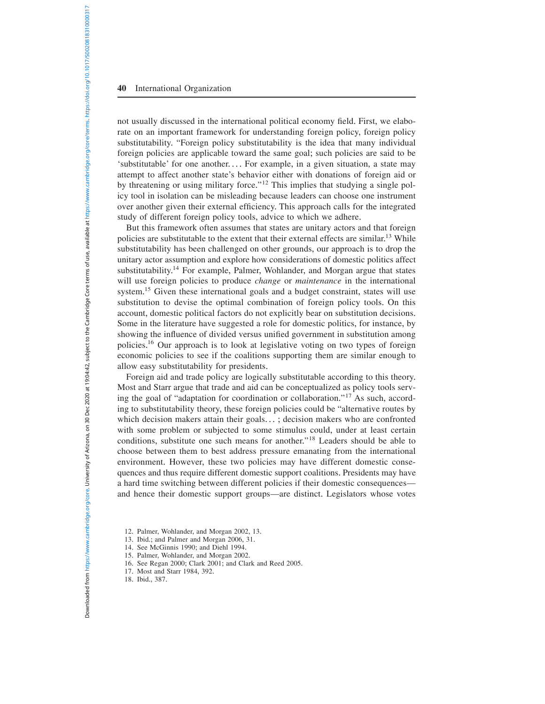not usually discussed in the international political economy field. First, we elaborate on an important framework for understanding foreign policy, foreign policy substitutability. "Foreign policy substitutability is the idea that many individual foreign policies are applicable toward the same goal; such policies are said to be 'substitutable' for one another,  $\ldots$  For example, in a given situation, a state may attempt to affect another state's behavior either with donations of foreign aid or by threatening or using military force."<sup>12</sup> This implies that studying a single policy tool in isolation can be misleading because leaders can choose one instrument over another given their external efficiency. This approach calls for the integrated study of different foreign policy tools, advice to which we adhere.

But this framework often assumes that states are unitary actors and that foreign policies are substitutable to the extent that their external effects are similar.<sup>13</sup> While substitutability has been challenged on other grounds, our approach is to drop the unitary actor assumption and explore how considerations of domestic politics affect substitutability.<sup>14</sup> For example, Palmer, Wohlander, and Morgan argue that states will use foreign policies to produce *change* or *maintenance* in the international system.<sup>15</sup> Given these international goals and a budget constraint, states will use substitution to devise the optimal combination of foreign policy tools. On this account, domestic political factors do not explicitly bear on substitution decisions+ Some in the literature have suggested a role for domestic politics, for instance, by showing the influence of divided versus unified government in substitution among policies.<sup>16</sup> Our approach is to look at legislative voting on two types of foreign economic policies to see if the coalitions supporting them are similar enough to allow easy substitutability for presidents.

Foreign aid and trade policy are logically substitutable according to this theory. Most and Starr argue that trade and aid can be conceptualized as policy tools serving the goal of "adaptation for coordination or collaboration."<sup>17</sup> As such, according to substitutability theory, these foreign policies could be "alternative routes by which decision makers attain their goals $\ldots$ ; decision makers who are confronted with some problem or subjected to some stimulus could, under at least certain conditions, substitute one such means for another."<sup>18</sup> Leaders should be able to choose between them to best address pressure emanating from the international environment. However, these two policies may have different domestic consequences and thus require different domestic support coalitions+ Presidents may have a hard time switching between different policies if their domestic consequences and hence their domestic support groups—are distinct. Legislators whose votes

- 12. Palmer, Wohlander, and Morgan 2002, 13.
- 13. Ibid.; and Palmer and Morgan 2006, 31.
- 14. See McGinnis 1990; and Diehl 1994.
- 15. Palmer, Wohlander, and Morgan 2002.
- 16. See Regan 2000; Clark 2001; and Clark and Reed 2005.
- 17. Most and Starr 1984, 392.
- 18. Ibid., 387.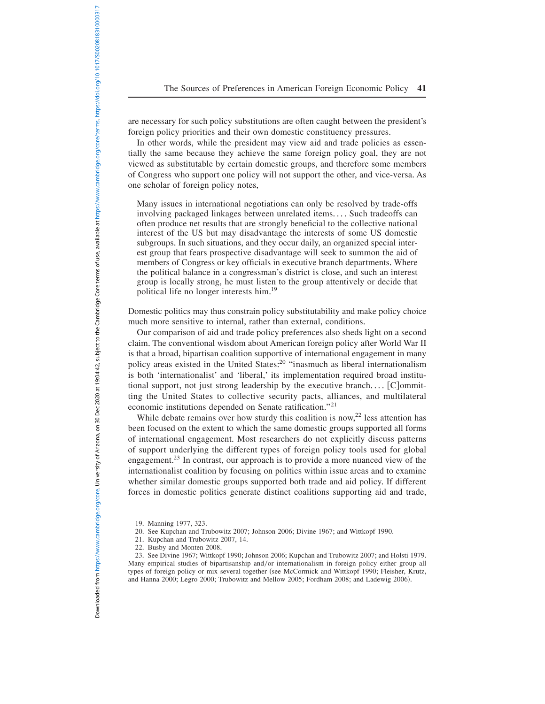are necessary for such policy substitutions are often caught between the president's foreign policy priorities and their own domestic constituency pressures.

In other words, while the president may view aid and trade policies as essentially the same because they achieve the same foreign policy goal, they are not viewed as substitutable by certain domestic groups, and therefore some members of Congress who support one policy will not support the other, and vice-versa. As one scholar of foreign policy notes,

Many issues in international negotiations can only be resolved by trade-offs involving packaged linkages between unrelated items.... Such tradeoffs can often produce net results that are strongly beneficial to the collective national interest of the US but may disadvantage the interests of some US domestic subgroups. In such situations, and they occur daily, an organized special interest group that fears prospective disadvantage will seek to summon the aid of members of Congress or key officials in executive branch departments. Where the political balance in a congressman's district is close, and such an interest group is locally strong, he must listen to the group attentively or decide that political life no longer interests him.<sup>19</sup>

Domestic politics may thus constrain policy substitutability and make policy choice much more sensitive to internal, rather than external, conditions.

Our comparison of aid and trade policy preferences also sheds light on a second claim. The conventional wisdom about American foreign policy after World War II is that a broad, bipartisan coalition supportive of international engagement in many policy areas existed in the United States: <sup>20</sup> "inasmuch as liberal internationalism is both 'internationalist' and 'liberal,' its implementation required broad institutional support, not just strong leadership by the executive branch.... [C] ommitting the United States to collective security pacts, alliances, and multilateral economic institutions depended on Senate ratification."<sup>21</sup>

While debate remains over how sturdy this coalition is now, $2<sup>2</sup>$  less attention has been focused on the extent to which the same domestic groups supported all forms of international engagement. Most researchers do not explicitly discuss patterns of support underlying the different types of foreign policy tools used for global engagement.<sup>23</sup> In contrast, our approach is to provide a more nuanced view of the internationalist coalition by focusing on politics within issue areas and to examine whether similar domestic groups supported both trade and aid policy. If different forces in domestic politics generate distinct coalitions supporting aid and trade,

- 19. Manning 1977, 323.
- 20. See Kupchan and Trubowitz 2007; Johnson 2006; Divine 1967; and Wittkopf 1990.
- 21. Kupchan and Trubowitz 2007, 14.
- 22. Busby and Monten 2008.

23. See Divine 1967; Wittkopf 1990; Johnson 2006; Kupchan and Trubowitz 2007; and Holsti 1979. Many empirical studies of bipartisanship and/or internationalism in foreign policy either group all types of foreign policy or mix several together (see McCormick and Wittkopf 1990; Fleisher, Krutz, and Hanna 2000; Legro 2000; Trubowitz and Mellow 2005; Fordham 2008; and Ladewig 2006).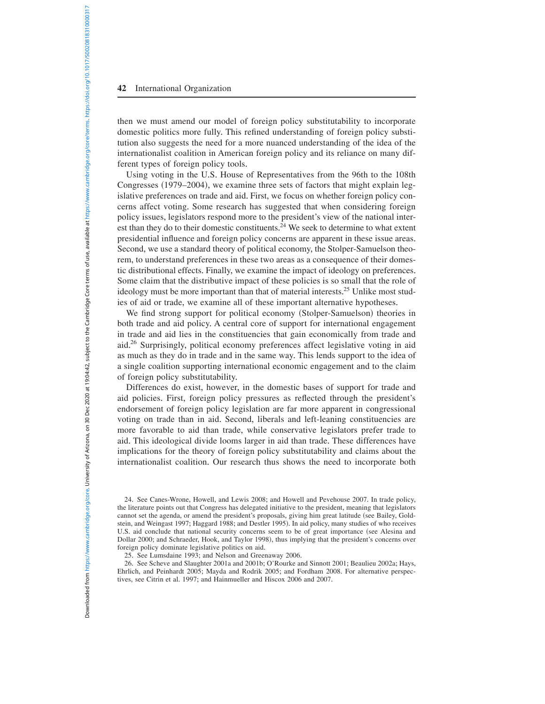then we must amend our model of foreign policy substitutability to incorporate domestic politics more fully. This refined understanding of foreign policy substitution also suggests the need for a more nuanced understanding of the idea of the internationalist coalition in American foreign policy and its reliance on many different types of foreign policy tools.

Using voting in the U.S. House of Representatives from the 96th to the 108th Congresses  $(1979–2004)$ , we examine three sets of factors that might explain legislative preferences on trade and aid. First, we focus on whether foreign policy concerns affect voting. Some research has suggested that when considering foreign policy issues, legislators respond more to the president's view of the national interest than they do to their domestic constituents. $24$  We seek to determine to what extent presidential influence and foreign policy concerns are apparent in these issue areas. Second, we use a standard theory of political economy, the Stolper-Samuelson theorem, to understand preferences in these two areas as a consequence of their domestic distributional effects. Finally, we examine the impact of ideology on preferences. Some claim that the distributive impact of these policies is so small that the role of ideology must be more important than that of material interests.<sup>25</sup> Unlike most studies of aid or trade, we examine all of these important alternative hypotheses.

We find strong support for political economy (Stolper-Samuelson) theories in both trade and aid policy. A central core of support for international engagement in trade and aid lies in the constituencies that gain economically from trade and aid.<sup>26</sup> Surprisingly, political economy preferences affect legislative voting in aid as much as they do in trade and in the same way. This lends support to the idea of a single coalition supporting international economic engagement and to the claim of foreign policy substitutability.

Differences do exist, however, in the domestic bases of support for trade and aid policies. First, foreign policy pressures as reflected through the president's endorsement of foreign policy legislation are far more apparent in congressional voting on trade than in aid. Second, liberals and left-leaning constituencies are more favorable to aid than trade, while conservative legislators prefer trade to aid. This ideological divide looms larger in aid than trade. These differences have implications for the theory of foreign policy substitutability and claims about the internationalist coalition. Our research thus shows the need to incorporate both

24. See Canes-Wrone, Howell, and Lewis 2008; and Howell and Pevehouse 2007. In trade policy, the literature points out that Congress has delegated initiative to the president, meaning that legislators cannot set the agenda, or amend the president's proposals, giving him great latitude (see Bailey, Goldstein, and Weingast 1997; Haggard 1988; and Destler 1995). In aid policy, many studies of who receives U.S. aid conclude that national security concerns seem to be of great importance (see Alesina and Dollar 2000; and Schraeder, Hook, and Taylor 1998), thus implying that the president's concerns over foreign policy dominate legislative politics on aid.

25. See Lumsdaine 1993; and Nelson and Greenaway 2006.

26. See Scheve and Slaughter 2001a and 2001b; O'Rourke and Sinnott 2001; Beaulieu 2002a; Hays, Ehrlich, and Peinhardt 2005; Mayda and Rodrik 2005; and Fordham 2008. For alternative perspectives, see Citrin et al. 1997; and Hainmueller and Hiscox 2006 and 2007.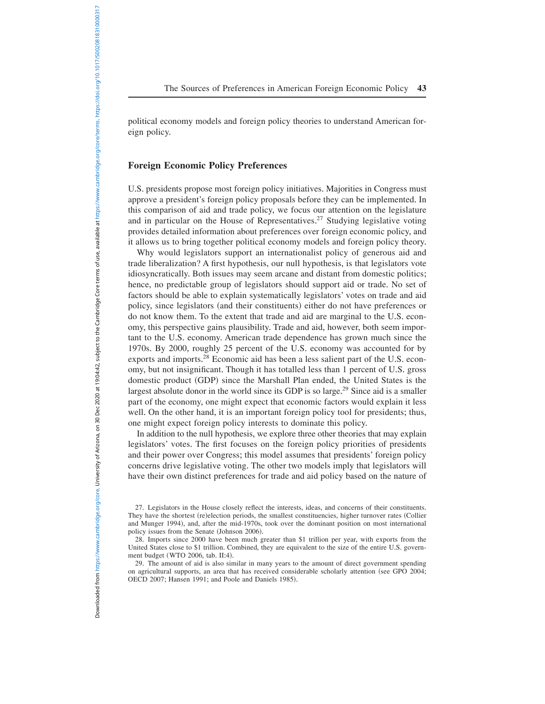political economy models and foreign policy theories to understand American foreign policy.

## **Foreign Economic Policy Preferences**

U.S. presidents propose most foreign policy initiatives. Majorities in Congress must approve a president's foreign policy proposals before they can be implemented. In this comparison of aid and trade policy, we focus our attention on the legislature and in particular on the House of Representatives.<sup>27</sup> Studying legislative voting provides detailed information about preferences over foreign economic policy, and it allows us to bring together political economy models and foreign policy theory.

Why would legislators support an internationalist policy of generous aid and trade liberalization? A first hypothesis, our null hypothesis, is that legislators vote idiosyncratically. Both issues may seem arcane and distant from domestic politics; hence, no predictable group of legislators should support aid or trade. No set of factors should be able to explain systematically legislators' votes on trade and aid policy, since legislators (and their constituents) either do not have preferences or do not know them. To the extent that trade and aid are marginal to the U.S. economy, this perspective gains plausibility+ Trade and aid, however, both seem important to the U.S. economy. American trade dependence has grown much since the 1970s. By 2000, roughly 25 percent of the U.S. economy was accounted for by exports and imports.<sup>28</sup> Economic aid has been a less salient part of the U.S. economy, but not insignificant. Though it has totalled less than 1 percent of U.S. gross domestic product (GDP) since the Marshall Plan ended, the United States is the largest absolute donor in the world since its GDP is so large.<sup>29</sup> Since aid is a smaller part of the economy, one might expect that economic factors would explain it less well. On the other hand, it is an important foreign policy tool for presidents; thus, one might expect foreign policy interests to dominate this policy+

In addition to the null hypothesis, we explore three other theories that may explain legislators' votes. The first focuses on the foreign policy priorities of presidents and their power over Congress; this model assumes that presidents' foreign policy concerns drive legislative voting. The other two models imply that legislators will have their own distinct preferences for trade and aid policy based on the nature of

<sup>27.</sup> Legislators in the House closely reflect the interests, ideas, and concerns of their constituents. They have the shortest (re)election periods, the smallest constituencies, higher turnover rates (Collier and Munger 1994), and, after the mid-1970s, took over the dominant position on most international policy issues from the Senate (Johnson 2006).

<sup>28.</sup> Imports since 2000 have been much greater than \$1 trillion per year, with exports from the United States close to \$1 trillion. Combined, they are equivalent to the size of the entire U.S. government budget (WTO 2006, tab. II:4).

<sup>29.</sup> The amount of aid is also similar in many years to the amount of direct government spending on agricultural supports, an area that has received considerable scholarly attention (see GPO 2004; OECD 2007; Hansen 1991; and Poole and Daniels 1985).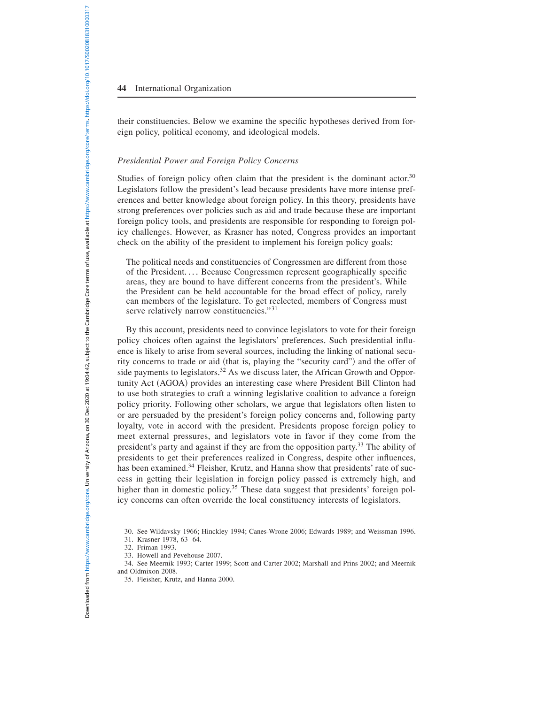their constituencies. Below we examine the specific hypotheses derived from foreign policy, political economy, and ideological models.

#### *Presidential Power and Foreign Policy Concerns*

Studies of foreign policy often claim that the president is the dominant actor.<sup>30</sup> Legislators follow the president's lead because presidents have more intense preferences and better knowledge about foreign policy. In this theory, presidents have strong preferences over policies such as aid and trade because these are important foreign policy tools, and presidents are responsible for responding to foreign policy challenges. However, as Krasner has noted, Congress provides an important check on the ability of the president to implement his foreign policy goals:

The political needs and constituencies of Congressmen are different from those of the President.... Because Congressmen represent geographically specific areas, they are bound to have different concerns from the president's. While the President can be held accountable for the broad effect of policy, rarely can members of the legislature. To get reelected, members of Congress must serve relatively narrow constituencies."<sup>31</sup>

By this account, presidents need to convince legislators to vote for their foreign policy choices often against the legislators' preferences. Such presidential influence is likely to arise from several sources, including the linking of national security concerns to trade or aid (that is, playing the "security card") and the offer of side payments to legislators.<sup>32</sup> As we discuss later, the African Growth and Opportunity Act (AGOA) provides an interesting case where President Bill Clinton had to use both strategies to craft a winning legislative coalition to advance a foreign policy priority. Following other scholars, we argue that legislators often listen to or are persuaded by the president's foreign policy concerns and, following party loyalty, vote in accord with the president. Presidents propose foreign policy to meet external pressures, and legislators vote in favor if they come from the president's party and against if they are from the opposition party.<sup>33</sup> The ability of presidents to get their preferences realized in Congress, despite other influences, has been examined.<sup>34</sup> Fleisher, Krutz, and Hanna show that presidents' rate of success in getting their legislation in foreign policy passed is extremely high, and higher than in domestic policy.<sup>35</sup> These data suggest that presidents' foreign policy concerns can often override the local constituency interests of legislators.

33. Howell and Pevehouse 2007.

<sup>30.</sup> See Wildavsky 1966; Hinckley 1994; Canes-Wrone 2006; Edwards 1989; and Weissman 1996.

<sup>31.</sup> Krasner 1978, 63–64.

<sup>32.</sup> Friman 1993.

<sup>34</sup>+ See Meernik 1993; Carter 1999; Scott and Carter 2002; Marshall and Prins 2002; and Meernik and Oldmixon 2008.

<sup>35.</sup> Fleisher, Krutz, and Hanna 2000.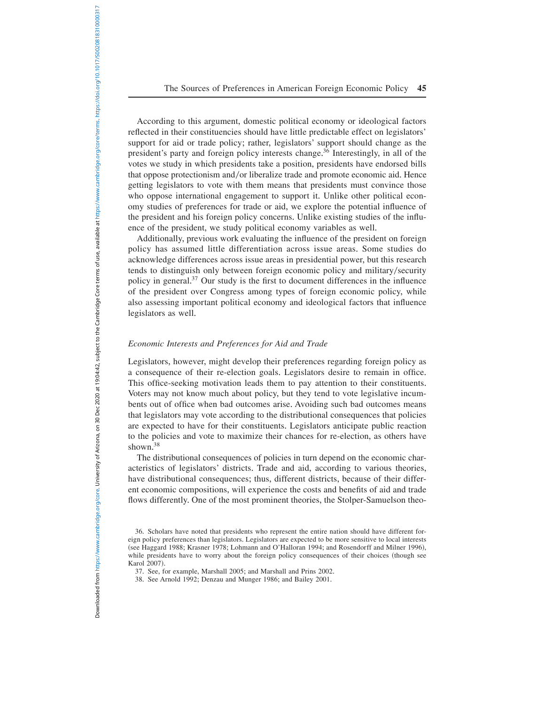According to this argument, domestic political economy or ideological factors reflected in their constituencies should have little predictable effect on legislators' support for aid or trade policy; rather, legislators' support should change as the president's party and foreign policy interests change.<sup>36</sup> Interestingly, in all of the votes we study in which presidents take a position, presidents have endorsed bills that oppose protectionism and/or liberalize trade and promote economic aid. Hence getting legislators to vote with them means that presidents must convince those who oppose international engagement to support it. Unlike other political economy studies of preferences for trade or aid, we explore the potential influence of the president and his foreign policy concerns. Unlike existing studies of the influence of the president, we study political economy variables as well.

Additionally, previous work evaluating the influence of the president on foreign policy has assumed little differentiation across issue areas+ Some studies do acknowledge differences across issue areas in presidential power, but this research tends to distinguish only between foreign economic policy and military/security policy in general.<sup>37</sup> Our study is the first to document differences in the influence of the president over Congress among types of foreign economic policy, while also assessing important political economy and ideological factors that influence legislators as well.

## *Economic Interests and Preferences for Aid and Trade*

Legislators, however, might develop their preferences regarding foreign policy as a consequence of their re-election goals. Legislators desire to remain in office. This office-seeking motivation leads them to pay attention to their constituents. Voters may not know much about policy, but they tend to vote legislative incumbents out of office when bad outcomes arise. Avoiding such bad outcomes means that legislators may vote according to the distributional consequences that policies are expected to have for their constituents. Legislators anticipate public reaction to the policies and vote to maximize their chances for re-election, as others have shown. $38$ 

The distributional consequences of policies in turn depend on the economic characteristics of legislators' districts. Trade and aid, according to various theories, have distributional consequences; thus, different districts, because of their different economic compositions, will experience the costs and benefits of aid and trade flows differently. One of the most prominent theories, the Stolper-Samuelson theo-

<sup>36.</sup> Scholars have noted that presidents who represent the entire nation should have different foreign policy preferences than legislators. Legislators are expected to be more sensitive to local interests (see Haggard 1988; Krasner 1978; Lohmann and O'Halloran 1994; and Rosendorff and Milner 1996), while presidents have to worry about the foreign policy consequences of their choices (though see Karol 2007).

<sup>37.</sup> See, for example, Marshall 2005; and Marshall and Prins 2002.

<sup>38.</sup> See Arnold 1992; Denzau and Munger 1986; and Bailey 2001.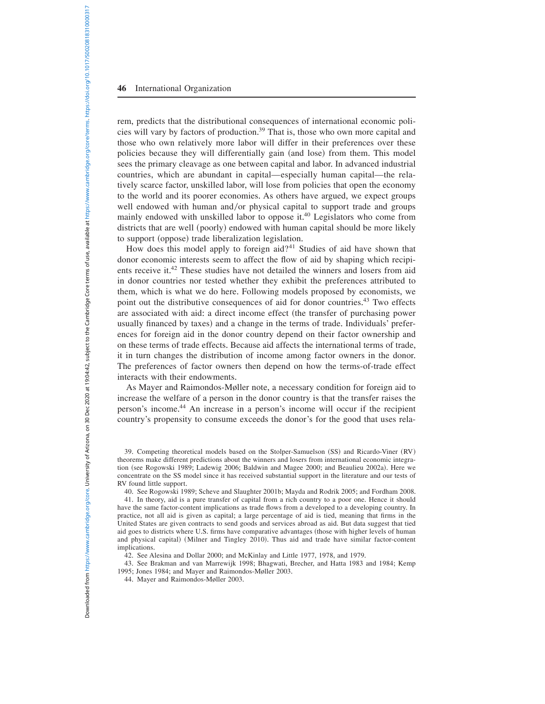rem, predicts that the distributional consequences of international economic policies will vary by factors of production.<sup>39</sup> That is, those who own more capital and those who own relatively more labor will differ in their preferences over these policies because they will differentially gain (and lose) from them. This model sees the primary cleavage as one between capital and labor. In advanced industrial countries, which are abundant in capital—especially human capital—the relatively scarce factor, unskilled labor, will lose from policies that open the economy to the world and its poorer economies+ As others have argued, we expect groups well endowed with human and/or physical capital to support trade and groups mainly endowed with unskilled labor to oppose it. $40$  Legislators who come from districts that are well (poorly) endowed with human capital should be more likely to support (oppose) trade liberalization legislation.

How does this model apply to foreign aid?<sup>41</sup> Studies of aid have shown that donor economic interests seem to affect the flow of aid by shaping which recipients receive it.<sup>42</sup> These studies have not detailed the winners and losers from aid in donor countries nor tested whether they exhibit the preferences attributed to them, which is what we do here. Following models proposed by economists, we point out the distributive consequences of aid for donor countries.<sup>43</sup> Two effects are associated with aid: a direct income effect (the transfer of purchasing power usually financed by taxes) and a change in the terms of trade. Individuals' preferences for foreign aid in the donor country depend on their factor ownership and on these terms of trade effects. Because aid affects the international terms of trade, it in turn changes the distribution of income among factor owners in the donor. The preferences of factor owners then depend on how the terms-of-trade effect interacts with their endowments.

As Mayer and Raimondos-Møller note, a necessary condition for foreign aid to increase the welfare of a person in the donor country is that the transfer raises the person's income+ <sup>44</sup> An increase in a person's income will occur if the recipient country's propensity to consume exceeds the donor's for the good that uses rela-

39. Competing theoretical models based on the Stolper-Samuelson (SS) and Ricardo-Viner (RV) theorems make different predictions about the winners and losers from international economic integration (see Rogowski 1989; Ladewig 2006; Baldwin and Magee 2000; and Beaulieu 2002a). Here we concentrate on the SS model since it has received substantial support in the literature and our tests of RV found little support.

40. See Rogowski 1989; Scheve and Slaughter 2001b; Mayda and Rodrik 2005; and Fordham 2008.

41. In theory, aid is a pure transfer of capital from a rich country to a poor one. Hence it should have the same factor-content implications as trade flows from a developed to a developing country. In practice, not all aid is given as capital; a large percentage of aid is tied, meaning that firms in the United States are given contracts to send goods and services abroad as aid. But data suggest that tied aid goes to districts where U.S. firms have comparative advantages (those with higher levels of human and physical capital) (Milner and Tingley 2010). Thus aid and trade have similar factor-content implications.

42. See Alesina and Dollar 2000; and McKinlay and Little 1977, 1978, and 1979.

43+ See Brakman and van Marrewijk 1998; Bhagwati, Brecher, and Hatta 1983 and 1984; Kemp 1995; Jones 1984; and Mayer and Raimondos-Møller 2003.

44. Mayer and Raimondos-Møller 2003.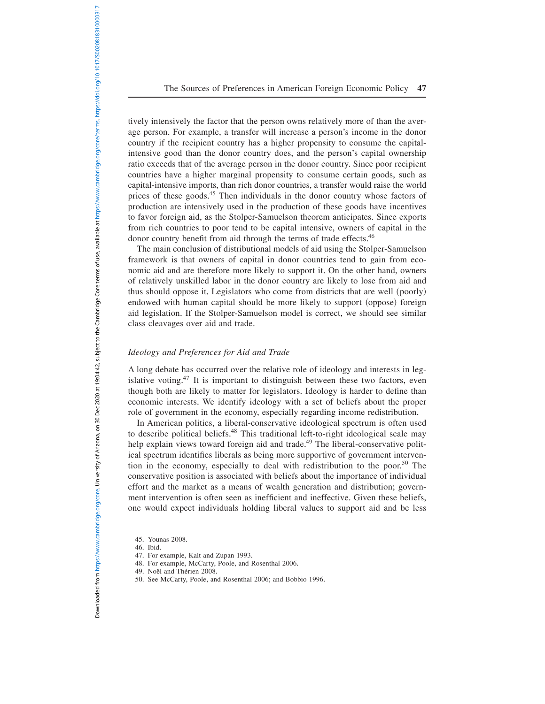tively intensively the factor that the person owns relatively more of than the average person. For example, a transfer will increase a person's income in the donor country if the recipient country has a higher propensity to consume the capitalintensive good than the donor country does, and the person's capital ownership ratio exceeds that of the average person in the donor country. Since poor recipient countries have a higher marginal propensity to consume certain goods, such as capital-intensive imports, than rich donor countries, a transfer would raise the world prices of these goods.<sup>45</sup> Then individuals in the donor country whose factors of production are intensively used in the production of these goods have incentives to favor foreign aid, as the Stolper-Samuelson theorem anticipates. Since exports from rich countries to poor tend to be capital intensive, owners of capital in the donor country benefit from aid through the terms of trade effects.<sup>46</sup>

The main conclusion of distributional models of aid using the Stolper-Samuelson framework is that owners of capital in donor countries tend to gain from economic aid and are therefore more likely to support it. On the other hand, owners of relatively unskilled labor in the donor country are likely to lose from aid and thus should oppose it. Legislators who come from districts that are well  $(poorly)$ endowed with human capital should be more likely to support (oppose) foreign aid legislation. If the Stolper-Samuelson model is correct, we should see similar class cleavages over aid and trade.

## *Ideology and Preferences for Aid and Trade*

A long debate has occurred over the relative role of ideology and interests in legislative voting.<sup>47</sup> It is important to distinguish between these two factors, even though both are likely to matter for legislators. Ideology is harder to define than economic interests. We identify ideology with a set of beliefs about the proper role of government in the economy, especially regarding income redistribution.

In American politics, a liberal-conservative ideological spectrum is often used to describe political beliefs.<sup>48</sup> This traditional left-to-right ideological scale may help explain views toward foreign aid and trade.<sup>49</sup> The liberal-conservative political spectrum identifies liberals as being more supportive of government intervention in the economy, especially to deal with redistribution to the poor.<sup>50</sup> The conservative position is associated with beliefs about the importance of individual effort and the market as a means of wealth generation and distribution; government intervention is often seen as inefficient and ineffective. Given these beliefs, one would expect individuals holding liberal values to support aid and be less

48. For example, McCarty, Poole, and Rosenthal 2006.

50. See McCarty, Poole, and Rosenthal 2006; and Bobbio 1996.

<sup>45.</sup> Younas 2008.

<sup>46.</sup> Ibid.

<sup>47.</sup> For example, Kalt and Zupan 1993.

<sup>49.</sup> Noël and Thérien 2008.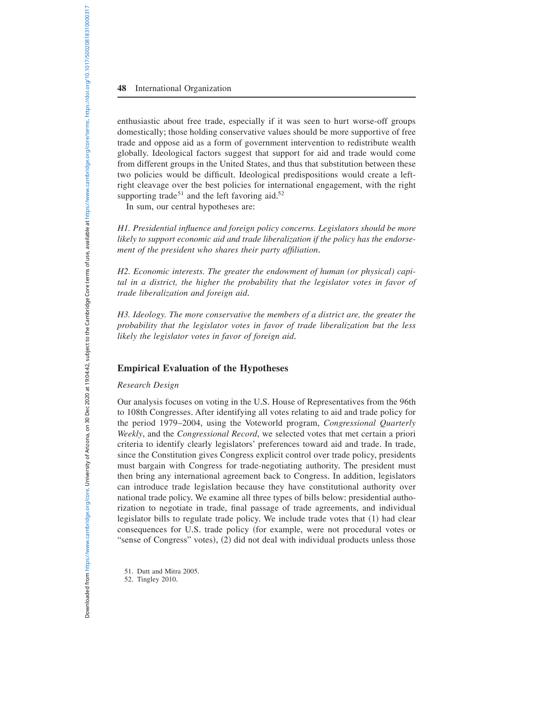enthusiastic about free trade, especially if it was seen to hurt worse-off groups domestically; those holding conservative values should be more supportive of free trade and oppose aid as a form of government intervention to redistribute wealth globally+ Ideological factors suggest that support for aid and trade would come from different groups in the United States, and thus that substitution between these two policies would be difficult. Ideological predispositions would create a leftright cleavage over the best policies for international engagement, with the right supporting trade<sup>51</sup> and the left favoring aid.<sup>52</sup>

In sum, our central hypotheses are:

*H1. Presidential influence and foreign policy concerns. Legislators should be more likely to support economic aid and trade liberalization if the policy has the endorsement of the president who shares their party affiliation.* 

*H2. Economic interests. The greater the endowment of human (or physical) capital in a district, the higher the probability that the legislator votes in favor of trade liberalization and foreign aid.* 

*H3. Ideology. The more conservative the members of a district are, the greater the probability that the legislator votes in favor of trade liberalization but the less likely the legislator votes in favor of foreign aid.* 

## **Empirical Evaluation of the Hypotheses**

## *Research Design*

Our analysis focuses on voting in the U.S. House of Representatives from the 96th to 108th Congresses. After identifying all votes relating to aid and trade policy for the period 1979–2004, using the Voteworld program, *Congressional Quarterly Weekly*, and the *Congressional Record*, we selected votes that met certain a priori criteria to identify clearly legislators' preferences toward aid and trade. In trade, since the Constitution gives Congress explicit control over trade policy, presidents must bargain with Congress for trade-negotiating authority. The president must then bring any international agreement back to Congress. In addition, legislators can introduce trade legislation because they have constitutional authority over national trade policy. We examine all three types of bills below: presidential authorization to negotiate in trade, final passage of trade agreements, and individual legislator bills to regulate trade policy. We include trade votes that (1) had clear consequences for U.S. trade policy (for example, were not procedural votes or "sense of Congress" votes),  $(2)$  did not deal with individual products unless those

51. Dutt and Mitra 2005.

52. Tingley 2010.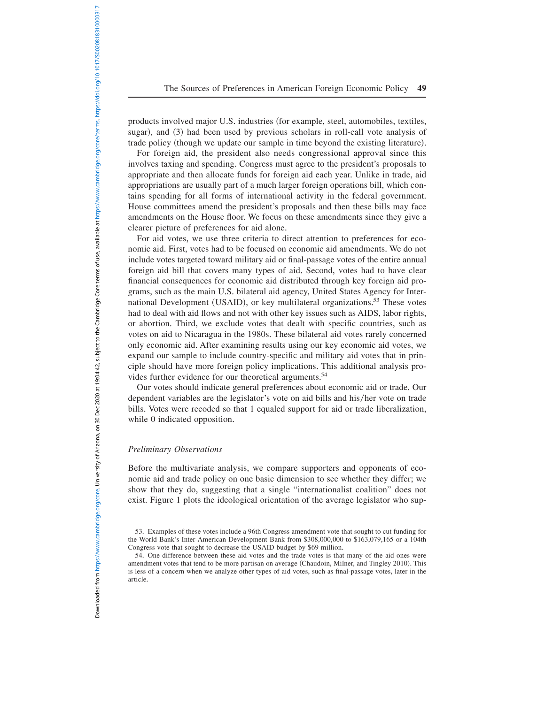products involved major U.S. industries (for example, steel, automobiles, textiles, sugar), and  $(3)$  had been used by previous scholars in roll-call vote analysis of trade policy (though we update our sample in time beyond the existing literature).

For foreign aid, the president also needs congressional approval since this involves taxing and spending. Congress must agree to the president's proposals to appropriate and then allocate funds for foreign aid each year. Unlike in trade, aid appropriations are usually part of a much larger foreign operations bill, which contains spending for all forms of international activity in the federal government. House committees amend the president's proposals and then these bills may face amendments on the House floor. We focus on these amendments since they give a clearer picture of preferences for aid alone.

For aid votes, we use three criteria to direct attention to preferences for economic aid. First, votes had to be focused on economic aid amendments. We do not include votes targeted toward military aid or final-passage votes of the entire annual foreign aid bill that covers many types of aid. Second, votes had to have clear financial consequences for economic aid distributed through key foreign aid programs, such as the main U.S. bilateral aid agency, United States Agency for International Development (USAID), or key multilateral organizations.<sup>53</sup> These votes had to deal with aid flows and not with other key issues such as AIDS, labor rights, or abortion. Third, we exclude votes that dealt with specific countries, such as votes on aid to Nicaragua in the 1980s. These bilateral aid votes rarely concerned only economic aid. After examining results using our key economic aid votes, we expand our sample to include country-specific and military aid votes that in principle should have more foreign policy implications+ This additional analysis provides further evidence for our theoretical arguments.<sup>54</sup>

Our votes should indicate general preferences about economic aid or trade. Our dependent variables are the legislator's vote on aid bills and his/her vote on trade bills. Votes were recoded so that 1 equaled support for aid or trade liberalization, while 0 indicated opposition.

#### *Preliminary Observations*

Before the multivariate analysis, we compare supporters and opponents of economic aid and trade policy on one basic dimension to see whether they differ; we show that they do, suggesting that a single "internationalist coalition" does not exist. Figure 1 plots the ideological orientation of the average legislator who sup-

<sup>53.</sup> Examples of these votes include a 96th Congress amendment vote that sought to cut funding for the World Bank's Inter-American Development Bank from \$308,000,000 to \$163,079,165 or a 104th Congress vote that sought to decrease the USAID budget by \$69 million+

<sup>54.</sup> One difference between these aid votes and the trade votes is that many of the aid ones were amendment votes that tend to be more partisan on average (Chaudoin, Milner, and Tingley 2010). This is less of a concern when we analyze other types of aid votes, such as final-passage votes, later in the article.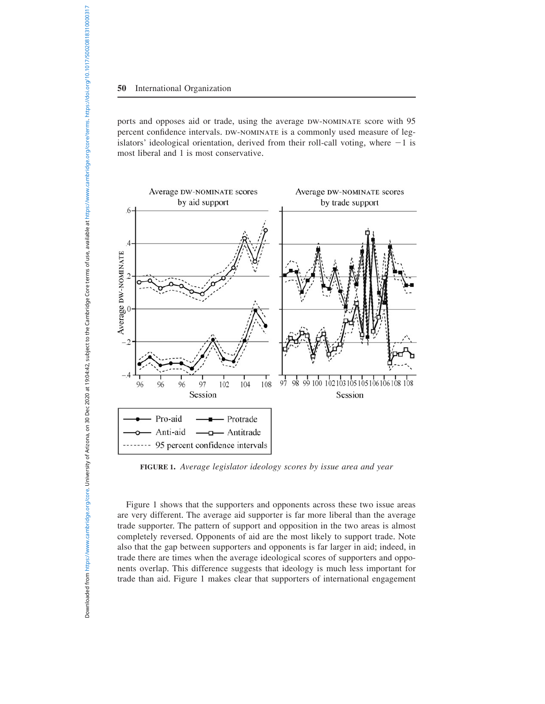ports and opposes aid or trade, using the average dw-nominate score with 95 percent confidence intervals. DW-NOMINATE is a commonly used measure of legislators' ideological orientation, derived from their roll-call voting, where -1 is most liberal and 1 is most conservative.



**FIGURE 1.** *Average legislator ideology scores by issue area and year*

Figure 1 shows that the supporters and opponents across these two issue areas are very different. The average aid supporter is far more liberal than the average trade supporter. The pattern of support and opposition in the two areas is almost completely reversed. Opponents of aid are the most likely to support trade. Note also that the gap between supporters and opponents is far larger in aid; indeed, in trade there are times when the average ideological scores of supporters and opponents overlap. This difference suggests that ideology is much less important for trade than aid. Figure 1 makes clear that supporters of international engagement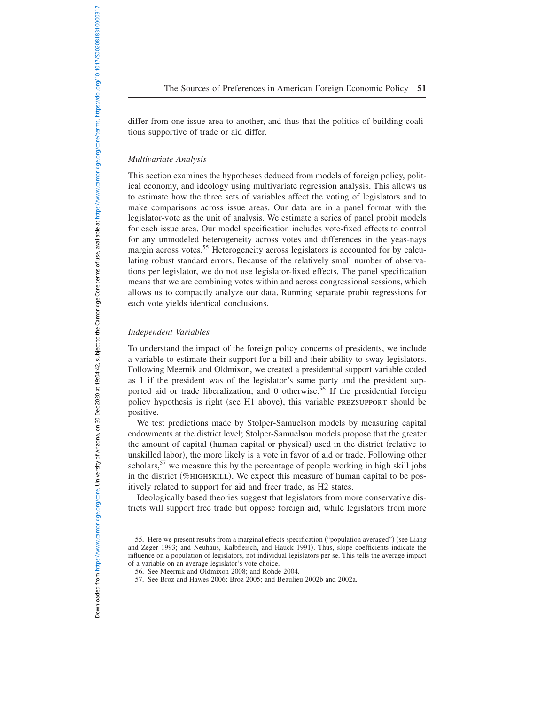differ from one issue area to another, and thus that the politics of building coalitions supportive of trade or aid differ.

#### *Multivariate Analysis*

This section examines the hypotheses deduced from models of foreign policy, political economy, and ideology using multivariate regression analysis. This allows us to estimate how the three sets of variables affect the voting of legislators and to make comparisons across issue areas. Our data are in a panel format with the legislator-vote as the unit of analysis. We estimate a series of panel probit models for each issue area. Our model specification includes vote-fixed effects to control for any unmodeled heterogeneity across votes and differences in the yeas-nays margin across votes.<sup>55</sup> Heterogeneity across legislators is accounted for by calculating robust standard errors. Because of the relatively small number of observations per legislator, we do not use legislator-fixed effects. The panel specification means that we are combining votes within and across congressional sessions, which allows us to compactly analyze our data. Running separate probit regressions for each vote yields identical conclusions.

## *Independent Variables*

To understand the impact of the foreign policy concerns of presidents, we include a variable to estimate their support for a bill and their ability to sway legislators. Following Meernik and Oldmixon, we created a presidential support variable coded as 1 if the president was of the legislator's same party and the president supported aid or trade liberalization, and 0 otherwise.<sup>56</sup> If the presidential foreign policy hypothesis is right (see H1 above), this variable PREZSUPPORT should be positive.

We test predictions made by Stolper-Samuelson models by measuring capital endowments at the district level; Stolper-Samuelson models propose that the greater the amount of capital (human capital or physical) used in the district (relative to unskilled labor), the more likely is a vote in favor of aid or trade. Following other scholars,<sup>57</sup> we measure this by the percentage of people working in high skill jobs in the district  $%$  HIGHSKILL). We expect this measure of human capital to be positively related to support for aid and freer trade, as H2 states.

Ideologically based theories suggest that legislators from more conservative districts will support free trade but oppose foreign aid, while legislators from more

<sup>55.</sup> Here we present results from a marginal effects specification ("population averaged") (see Liang and Zeger 1993; and Neuhaus, Kalbfleisch, and Hauck 1991). Thus, slope coefficients indicate the influence on a population of legislators, not individual legislators per se. This tells the average impact of a variable on an average legislator's vote choice.

<sup>56.</sup> See Meernik and Oldmixon 2008; and Rohde 2004.

<sup>57.</sup> See Broz and Hawes 2006; Broz 2005; and Beaulieu 2002b and 2002a.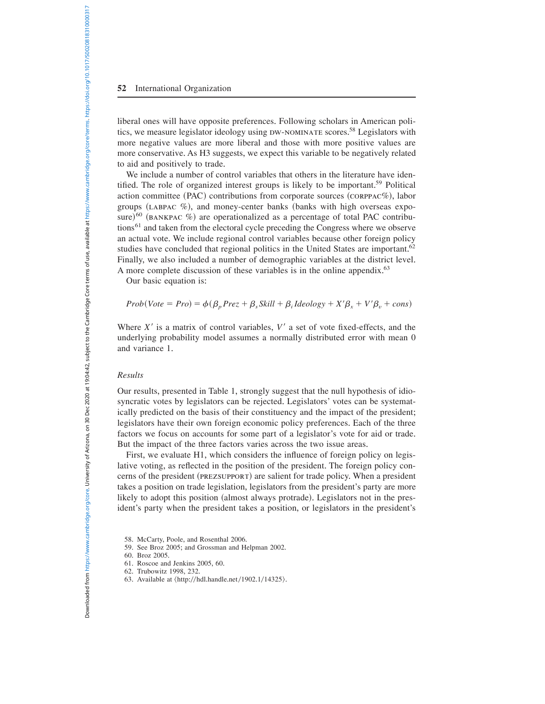liberal ones will have opposite preferences. Following scholars in American politics, we measure legislator ideology using DW-NOMINATE scores.<sup>58</sup> Legislators with more negative values are more liberal and those with more positive values are more conservative. As H3 suggests, we expect this variable to be negatively related to aid and positively to trade.

We include a number of control variables that others in the literature have identified. The role of organized interest groups is likely to be important.<sup>59</sup> Political action committee (PAC) contributions from corporate sources ( $\text{coRPPAC}\%$ ), labor groups (LABPAC  $\%$ ), and money-center banks (banks with high overseas exposure)<sup>60</sup> (BANKPAC %) are operationalized as a percentage of total PAC contributions<sup>61</sup> and taken from the electoral cycle preceding the Congress where we observe an actual vote. We include regional control variables because other foreign policy studies have concluded that regional politics in the United States are important.<sup>62</sup> Finally, we also included a number of demographic variables at the district level. A more complete discussion of these variables is in the online appendix.<sup>63</sup>

Our basic equation is:

$$
Prob(Vote = Pro) = \phi(\beta_p Prez + \beta_s Skill + \beta_i Ideology + X'\beta_x + V'\beta_v + cons)
$$

Where  $X'$  is a matrix of control variables,  $V'$  a set of vote fixed-effects, and the underlying probability model assumes a normally distributed error with mean 0 and variance 1.

#### *Results*

Our results, presented in Table 1, strongly suggest that the null hypothesis of idiosyncratic votes by legislators can be rejected. Legislators' votes can be systematically predicted on the basis of their constituency and the impact of the president; legislators have their own foreign economic policy preferences. Each of the three factors we focus on accounts for some part of a legislator's vote for aid or trade. But the impact of the three factors varies across the two issue areas.

First, we evaluate H1, which considers the influence of foreign policy on legislative voting, as reflected in the position of the president. The foreign policy concerns of the president  $(PREZSUPPORT)$  are salient for trade policy. When a president takes a position on trade legislation, legislators from the president's party are more likely to adopt this position (almost always protrade). Legislators not in the president's party when the president takes a position, or legislators in the president's

- 59. See Broz 2005; and Grossman and Helpman 2002.
- 60. Broz 2005.
- 61. Roscoe and Jenkins 2005, 60.
- 62. Trubowitz 1998, 232.
- 63. Available at  $\langle$ http://hdl.handle.net/1902.1/14325 $\rangle$ .

<sup>58.</sup> McCarty, Poole, and Rosenthal 2006.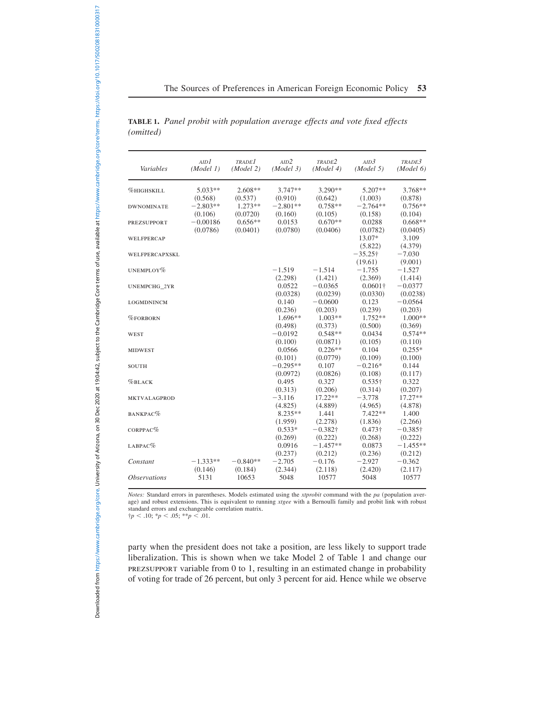| Variables                  | AID 1<br>(Model 1) | <b>TRADE</b> <sup>1</sup><br>(Model 2) | AID2<br>(Model 3) | TRADE2<br>(Model 4) | AID3<br>(Model 5) | TRADE3<br>(Model 6) |
|----------------------------|--------------------|----------------------------------------|-------------------|---------------------|-------------------|---------------------|
| $%$ HIGHSKILL              | $5.033**$          | $2.608**$                              | 3.747**           | 3.290**             | $5.207**$         | $3.768**$           |
|                            | (0.568)            | (0.537)                                | (0.910)           | (0.642)             | (1.003)           | (0.878)             |
| <b>DWNOMINATE</b>          | $-2.803**$         | $1.273**$                              | $-2.801**$        | $0.758**$           | $-2.764**$        | $0.756**$           |
|                            | (0.106)            | (0.0720)                               | (0.160)           | (0.105)             | (0.158)           | (0.104)             |
| <b>PREZSUPPORT</b>         | $-0.00186$         | $0.656**$                              | 0.0153            | $0.670**$           | 0.0288            | $0.668**$           |
|                            | (0.0786)           | (0.0401)                               | (0.0780)          | (0.0406)            | (0.0782)          | (0.0405)            |
| <b>WELFPERCAP</b>          |                    |                                        |                   |                     | 13.07*            | 3.109               |
|                            |                    |                                        |                   |                     | (5.822)           | (4.379)             |
| WELFPERCAPXSKL             |                    |                                        |                   |                     | $-35.25\dagger$   | $-7.030$            |
|                            |                    |                                        |                   |                     | (19.61)           | (9.001)             |
| UNEMPLOY%                  |                    |                                        | $-1.519$          | $-1.514$            | $-1.755$          | $-1.527$            |
|                            |                    |                                        | (2.298)           | (1.421)             | (2.369)           | (1.414)             |
| UNEMPCHG_2YR               |                    |                                        | 0.0522            | $-0.0365$           | $0.0601\dagger$   | $-0.0377$           |
|                            |                    |                                        | (0.0328)          | (0.0239)            | (0.0330)          | (0.0238)            |
| <b>LOGMDNINCM</b>          |                    |                                        | 0.140             | $-0.0600$           | 0.123             | $-0.0564$           |
|                            |                    |                                        | (0.236)           | (0.203)             | (0.239)           | (0.203)             |
| <b>%FORBORN</b>            |                    |                                        | $1.696**$         | $1.003**$           | $1.752**$         | $1.000**$           |
|                            |                    |                                        | (0.498)           | (0.373)             | (0.500)           | (0.369)             |
| WEST                       |                    |                                        | $-0.0192$         | $0.548**$           | 0.0434            | $0.574**$           |
|                            |                    |                                        | (0.100)           | (0.0871)            | (0.105)           | (0.110)             |
| <b>MIDWEST</b>             |                    |                                        | 0.0566            | $0.226**$           | 0.104             | $0.255*$            |
|                            |                    |                                        | (0.101)           | (0.0779)            | (0.109)           | (0.100)             |
| <b>SOUTH</b>               |                    |                                        | $-0.295**$        | 0.107               | $-0.216*$         | 0.144               |
|                            |                    |                                        | (0.0972)          | (0.0826)            | (0.108)           | (0.117)             |
| $%$ BLACK                  |                    |                                        | 0.495             | 0.327               | $0.535\dagger$    | 0.322               |
|                            |                    |                                        | (0.313)           | (0.206)             | (0.314)           | (0.207)             |
| <b>MKTVALAGPROD</b>        |                    |                                        | $-3.116$          | 17.22**             | $-3.778$          | $17.27**$           |
| BANKPAC%<br>CORPPAC%       |                    |                                        | (4.825)           | (4.889)             | (4.965)           | (4.878)             |
|                            |                    |                                        | $8.235**$         | 1.441               | $7.422**$         | 1.400               |
|                            |                    |                                        | (1.959)           | (2.278)             | (1.836)           | (2.266)             |
|                            |                    |                                        | $0.533*$          | $-0.382\dagger$     | $0.473\dagger$    | $-0.385\dagger$     |
|                            |                    |                                        | (0.269)           | (0.222)             | (0.268)           | (0.222)             |
| $_{\rm LABPAC}$ %          |                    |                                        | 0.0916            | $-1.457**$          | 0.0873            | $-1.455**$          |
|                            |                    |                                        | (0.237)           | (0.212)             | (0.236)           | (0.212)             |
| Constant                   | $-1.333**$         | $-0.840**$                             | $-2.705$          | $-0.176$            | $-2.927$          | $-0.362$            |
|                            | (0.146)            | (0.184)                                | (2.344)           | (2.118)             | (2.420)           | (2.117)             |
| <i><b>Observations</b></i> | 5131               | 10653                                  | 5048              | 10577               | 5048              | 10577               |

**TABLE 1.** *Panel probit with population average effects and vote fixed effects (omitted)*

*Notes:* Standard errors in parentheses. Models estimated using the *xtprobit* command with the *pa* (population average) and robust extensions. This is equivalent to running *xtgee* with a Bernoulli family and probit link with robust standard errors and exchangeable correlation matrix.  $\dot{\uparrow} p < .10; \dot{\uparrow} p < .05; \dot{\uparrow} \uparrow p < .01.$ 

party when the president does not take a position, are less likely to support trade liberalization. This is shown when we take Model 2 of Table 1 and change our prezsupport variable from 0 to 1, resulting in an estimated change in probability of voting for trade of 26 percent, but only 3 percent for aid. Hence while we observe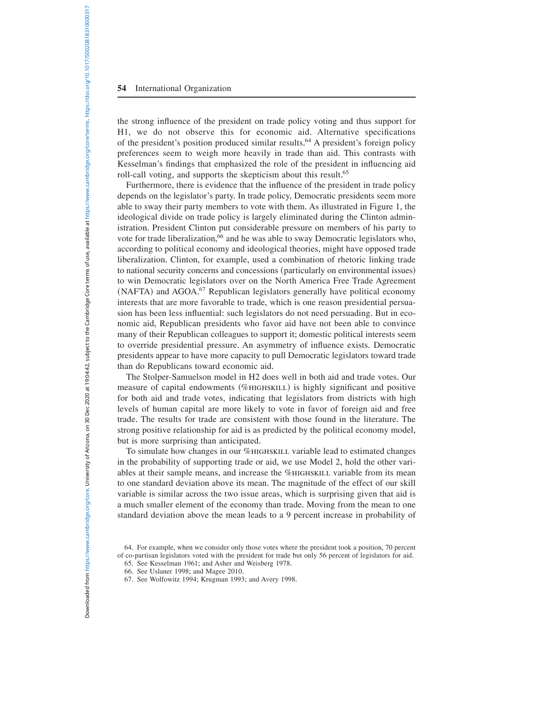the strong influence of the president on trade policy voting and thus support for H1, we do not observe this for economic aid. Alternative specifications of the president's position produced similar results.<sup>64</sup> A president's foreign policy preferences seem to weigh more heavily in trade than aid. This contrasts with Kesselman's findings that emphasized the role of the president in influencing aid roll-call voting, and supports the skepticism about this result.<sup>65</sup>

Furthermore, there is evidence that the influence of the president in trade policy depends on the legislator's party. In trade policy, Democratic presidents seem more able to sway their party members to vote with them+ As illustrated in Figure 1, the ideological divide on trade policy is largely eliminated during the Clinton administration. President Clinton put considerable pressure on members of his party to vote for trade liberalization, <sup>66</sup> and he was able to sway Democratic legislators who, according to political economy and ideological theories, might have opposed trade liberalization. Clinton, for example, used a combination of rhetoric linking trade to national security concerns and concessions (particularly on environmental issues) to win Democratic legislators over on the North America Free Trade Agreement  $(NAFTA)$  and  $AGOA<sup>67</sup>$  Republican legislators generally have political economy interests that are more favorable to trade, which is one reason presidential persuasion has been less influential: such legislators do not need persuading. But in economic aid, Republican presidents who favor aid have not been able to convince many of their Republican colleagues to support it; domestic political interests seem to override presidential pressure. An asymmetry of influence exists. Democratic presidents appear to have more capacity to pull Democratic legislators toward trade than do Republicans toward economic aid.

The Stolper-Samuelson model in H2 does well in both aid and trade votes+ Our measure of capital endowments (%HIGHSKILL) is highly significant and positive for both aid and trade votes, indicating that legislators from districts with high levels of human capital are more likely to vote in favor of foreign aid and free trade. The results for trade are consistent with those found in the literature. The strong positive relationship for aid is as predicted by the political economy model, but is more surprising than anticipated.

To simulate how changes in our %highskill variable lead to estimated changes in the probability of supporting trade or aid, we use Model 2, hold the other variables at their sample means, and increase the %HIGHSKILL variable from its mean to one standard deviation above its mean. The magnitude of the effect of our skill variable is similar across the two issue areas, which is surprising given that aid is a much smaller element of the economy than trade. Moving from the mean to one standard deviation above the mean leads to a 9 percent increase in probability of

<sup>64.</sup> For example, when we consider only those votes where the president took a position, 70 percent of co-partisan legislators voted with the president for trade but only 56 percent of legislators for aid+

<sup>65.</sup> See Kesselman 1961; and Asher and Weisberg 1978.

<sup>66.</sup> See Uslaner 1998; and Magee 2010.

<sup>67.</sup> See Wolfowitz 1994; Krugman 1993; and Avery 1998.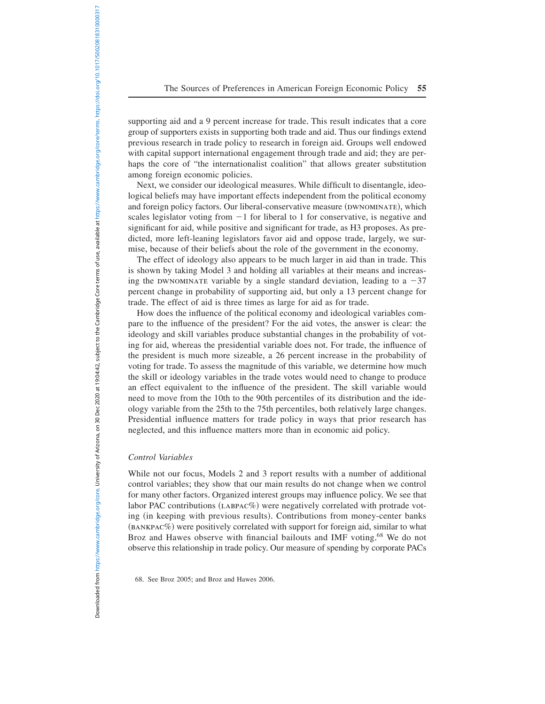supporting aid and a 9 percent increase for trade. This result indicates that a core group of supporters exists in supporting both trade and aid. Thus our findings extend previous research in trade policy to research in foreign aid+ Groups well endowed with capital support international engagement through trade and aid; they are perhaps the core of "the internationalist coalition" that allows greater substitution among foreign economic policies.

Next, we consider our ideological measures. While difficult to disentangle, ideological beliefs may have important effects independent from the political economy and foreign policy factors. Our liberal-conservative measure (DWNOMINATE), which scales legislator voting from -1 for liberal to 1 for conservative, is negative and significant for aid, while positive and significant for trade, as H3 proposes. As predicted, more left-leaning legislators favor aid and oppose trade, largely, we surmise, because of their beliefs about the role of the government in the economy.

The effect of ideology also appears to be much larger in aid than in trade. This is shown by taking Model 3 and holding all variables at their means and increasing the DWNOMINATE variable by a single standard deviation, leading to a  $-37$ percent change in probability of supporting aid, but only a 13 percent change for trade. The effect of aid is three times as large for aid as for trade.

How does the influence of the political economy and ideological variables compare to the influence of the president? For the aid votes, the answer is clear: the ideology and skill variables produce substantial changes in the probability of voting for aid, whereas the presidential variable does not. For trade, the influence of the president is much more sizeable, a 26 percent increase in the probability of voting for trade. To assess the magnitude of this variable, we determine how much the skill or ideology variables in the trade votes would need to change to produce an effect equivalent to the influence of the president. The skill variable would need to move from the 10th to the 90th percentiles of its distribution and the ideology variable from the 25th to the 75th percentiles, both relatively large changes+ Presidential influence matters for trade policy in ways that prior research has neglected, and this influence matters more than in economic aid policy.

#### *Control Variables*

While not our focus, Models 2 and 3 report results with a number of additional control variables; they show that our main results do not change when we control for many other factors. Organized interest groups may influence policy. We see that labor PAC contributions  $(LABPAC%)$  were negatively correlated with protrade voting (in keeping with previous results). Contributions from money-center banks  $(bANKPAC%)$  were positively correlated with support for foreign aid, similar to what Broz and Hawes observe with financial bailouts and IMF voting.<sup>68</sup> We do not observe this relationship in trade policy. Our measure of spending by corporate PACs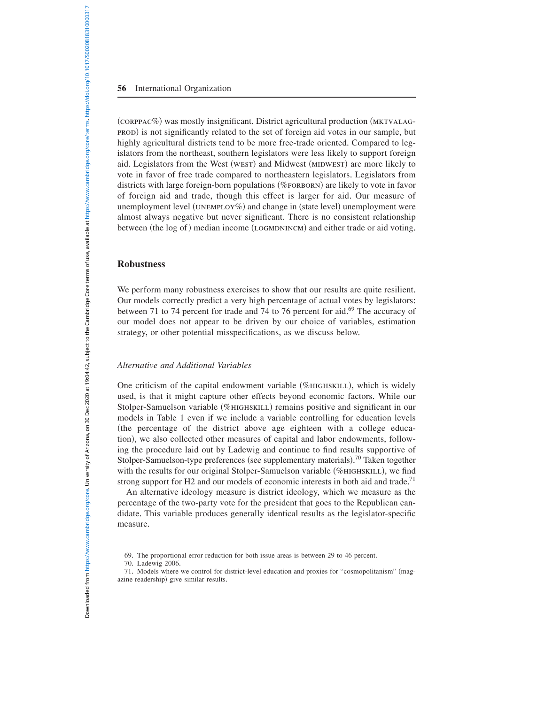$({\rm corePAC\%)}$  was mostly insignificant. District agricultural production (MKTVALAGprod! is not significantly related to the set of foreign aid votes in our sample, but highly agricultural districts tend to be more free-trade oriented. Compared to legislators from the northeast, southern legislators were less likely to support foreign aid. Legislators from the West (WEST) and Midwest (MIDWEST) are more likely to vote in favor of free trade compared to northeastern legislators. Legislators from districts with large foreign-born populations  $(\%$  FORBORN) are likely to vote in favor of foreign aid and trade, though this effect is larger for aid+ Our measure of unemployment level ( $\text{UNEMP}(\mathcal{O})$  and change in (state level) unemployment were almost always negative but never significant. There is no consistent relationship between (the log of) median income  $($ LOGMDNINCM $)$  and either trade or aid voting.

#### **Robustness**

We perform many robustness exercises to show that our results are quite resilient. Our models correctly predict a very high percentage of actual votes by legislators: between 71 to 74 percent for trade and 74 to 76 percent for aid.<sup>69</sup> The accuracy of our model does not appear to be driven by our choice of variables, estimation strategy, or other potential misspecifications, as we discuss below.

#### *Alternative and Additional Variables*

One criticism of the capital endowment variable  $%$  HIGHSKILL), which is widely used, is that it might capture other effects beyond economic factors. While our Stolper-Samuelson variable (%HIGHSKILL) remains positive and significant in our models in Table 1 even if we include a variable controlling for education levels (the percentage of the district above age eighteen with a college education), we also collected other measures of capital and labor endowments, following the procedure laid out by Ladewig and continue to find results supportive of Stolper-Samuelson-type preferences (see supplementary materials).<sup>70</sup> Taken together with the results for our original Stolper-Samuelson variable  $(\%$  HIGHSKILL), we find strong support for H2 and our models of economic interests in both aid and trade.<sup>71</sup>

An alternative ideology measure is district ideology, which we measure as the percentage of the two-party vote for the president that goes to the Republican candidate. This variable produces generally identical results as the legislator-specific measure.

<sup>69.</sup> The proportional error reduction for both issue areas is between 29 to 46 percent.

<sup>70.</sup> Ladewig 2006.

<sup>71.</sup> Models where we control for district-level education and proxies for "cosmopolitanism" (magazine readership) give similar results.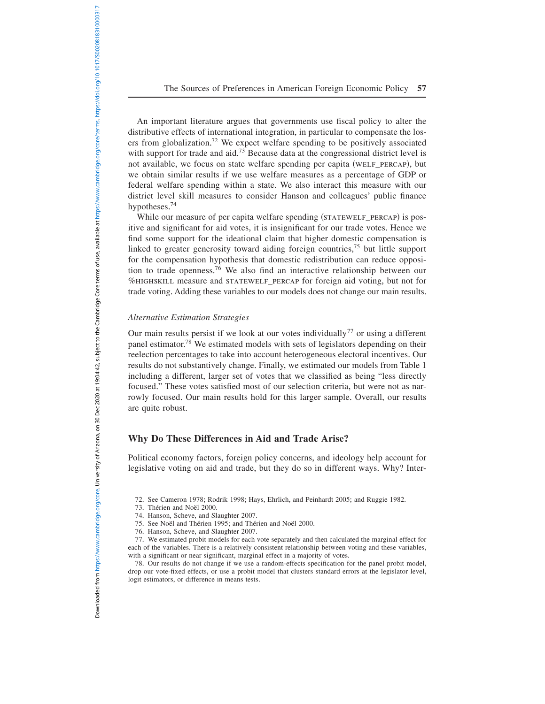An important literature argues that governments use fiscal policy to alter the distributive effects of international integration, in particular to compensate the losers from globalization.<sup>72</sup> We expect welfare spending to be positively associated with support for trade and aid.<sup>73</sup> Because data at the congressional district level is not available, we focus on state welfare spending per capita (WELF PERCAP), but we obtain similar results if we use welfare measures as a percentage of GDP or federal welfare spending within a state. We also interact this measure with our district level skill measures to consider Hanson and colleagues' public finance hypotheses.<sup>74</sup>

While our measure of per capita welfare spending  $(sTATEWELF_PERCAP)$  is positive and significant for aid votes, it is insignificant for our trade votes. Hence we find some support for the ideational claim that higher domestic compensation is linked to greater generosity toward aiding foreign countries, <sup>75</sup> but little support for the compensation hypothesis that domestic redistribution can reduce opposition to trade openness.<sup>76</sup> We also find an interactive relationship between our %highskill measure and statewelf\_percap for foreign aid voting, but not for trade voting. Adding these variables to our models does not change our main results.

#### *Alternative Estimation Strategies*

Our main results persist if we look at our votes individually<sup>77</sup> or using a different panel estimator.<sup>78</sup> We estimated models with sets of legislators depending on their reelection percentages to take into account heterogeneous electoral incentives. Our results do not substantively change. Finally, we estimated our models from Table 1 including a different, larger set of votes that we classified as being "less directly focused." These votes satisfied most of our selection criteria, but were not as narrowly focused. Our main results hold for this larger sample. Overall, our results are quite robust.

## **Why Do These Differences in Aid and Trade Arise?**

Political economy factors, foreign policy concerns, and ideology help account for legislative voting on aid and trade, but they do so in different ways. Why? Inter-

- 73. Thérien and Noël 2000.
- 74. Hanson, Scheve, and Slaughter 2007.
- 75. See Noël and Thérien 1995; and Thérien and Noël 2000.
- 76. Hanson, Scheve, and Slaughter 2007.

77. We estimated probit models for each vote separately and then calculated the marginal effect for each of the variables. There is a relatively consistent relationship between voting and these variables, with a significant or near significant, marginal effect in a majority of votes.

78. Our results do not change if we use a random-effects specification for the panel probit model, drop our vote-fixed effects, or use a probit model that clusters standard errors at the legislator level, logit estimators, or difference in means tests.

<sup>72.</sup> See Cameron 1978; Rodrik 1998; Hays, Ehrlich, and Peinhardt 2005; and Ruggie 1982.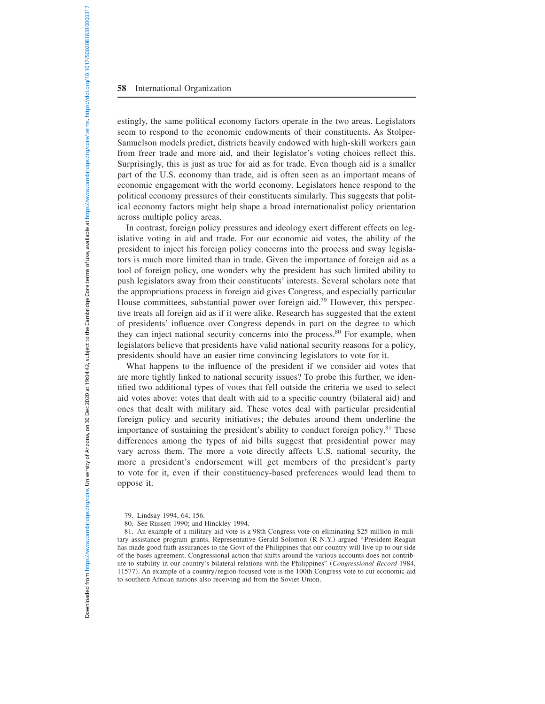estingly, the same political economy factors operate in the two areas. Legislators seem to respond to the economic endowments of their constituents. As Stolper-Samuelson models predict, districts heavily endowed with high-skill workers gain from freer trade and more aid, and their legislator's voting choices reflect this. Surprisingly, this is just as true for aid as for trade. Even though aid is a smaller part of the U.S. economy than trade, aid is often seen as an important means of economic engagement with the world economy. Legislators hence respond to the political economy pressures of their constituents similarly. This suggests that political economy factors might help shape a broad internationalist policy orientation across multiple policy areas.

In contrast, foreign policy pressures and ideology exert different effects on legislative voting in aid and trade. For our economic aid votes, the ability of the president to inject his foreign policy concerns into the process and sway legislators is much more limited than in trade. Given the importance of foreign aid as a tool of foreign policy, one wonders why the president has such limited ability to push legislators away from their constituents' interests. Several scholars note that the appropriations process in foreign aid gives Congress, and especially particular House committees, substantial power over foreign aid.<sup>79</sup> However, this perspective treats all foreign aid as if it were alike. Research has suggested that the extent of presidents' influence over Congress depends in part on the degree to which they can inject national security concerns into the process.<sup>80</sup> For example, when legislators believe that presidents have valid national security reasons for a policy, presidents should have an easier time convincing legislators to vote for it.

What happens to the influence of the president if we consider aid votes that are more tightly linked to national security issues? To probe this further, we identified two additional types of votes that fell outside the criteria we used to select aid votes above: votes that dealt with aid to a specific country (bilateral aid) and ones that dealt with military aid+ These votes deal with particular presidential foreign policy and security initiatives; the debates around them underline the importance of sustaining the president's ability to conduct foreign policy.<sup>81</sup> These differences among the types of aid bills suggest that presidential power may vary across them. The more a vote directly affects U.S. national security, the more a president's endorsement will get members of the president's party to vote for it, even if their constituency-based preferences would lead them to oppose it.

- 79. Lindsay 1994, 64, 156.
- 80. See Russett 1990; and Hinckley 1994.

81. An example of a military aid vote is a 98th Congress vote on eliminating \$25 million in military assistance program grants. Representative Gerald Solomon (R-N.Y.) argued "President Reagan has made good faith assurances to the Govt of the Philippines that our country will live up to our side of the bases agreement. Congressional action that shifts around the various accounts does not contribute to stability in our country's bilateral relations with the Philippines" ~*Congressional Record* 1984, 11577). An example of a country/region-focused vote is the 100th Congress vote to cut economic aid to southern African nations also receiving aid from the Soviet Union.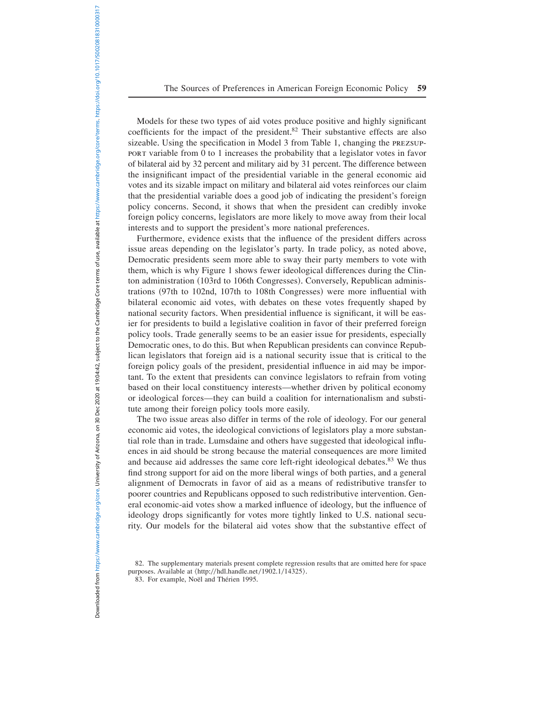Models for these two types of aid votes produce positive and highly significant coefficients for the impact of the president. $82$  Their substantive effects are also sizeable. Using the specification in Model 3 from Table 1, changing the PREZSUPport variable from 0 to 1 increases the probability that a legislator votes in favor of bilateral aid by 32 percent and military aid by 31 percent. The difference between the insignificant impact of the presidential variable in the general economic aid votes and its sizable impact on military and bilateral aid votes reinforces our claim that the presidential variable does a good job of indicating the president's foreign policy concerns+ Second, it shows that when the president can credibly invoke foreign policy concerns, legislators are more likely to move away from their local interests and to support the president's more national preferences.

Furthermore, evidence exists that the influence of the president differs across issue areas depending on the legislator's party. In trade policy, as noted above, Democratic presidents seem more able to sway their party members to vote with them, which is why Figure 1 shows fewer ideological differences during the Clinton administration (103rd to 106th Congresses). Conversely, Republican administrations (97th to 102nd, 107th to 108th Congresses) were more influential with bilateral economic aid votes, with debates on these votes frequently shaped by national security factors. When presidential influence is significant, it will be easier for presidents to build a legislative coalition in favor of their preferred foreign policy tools. Trade generally seems to be an easier issue for presidents, especially Democratic ones, to do this. But when Republican presidents can convince Republican legislators that foreign aid is a national security issue that is critical to the foreign policy goals of the president, presidential influence in aid may be important. To the extent that presidents can convince legislators to refrain from voting based on their local constituency interests—whether driven by political economy or ideological forces—they can build a coalition for internationalism and substitute among their foreign policy tools more easily.

The two issue areas also differ in terms of the role of ideology. For our general economic aid votes, the ideological convictions of legislators play a more substantial role than in trade. Lumsdaine and others have suggested that ideological influences in aid should be strong because the material consequences are more limited and because aid addresses the same core left-right ideological debates.<sup>83</sup> We thus find strong support for aid on the more liberal wings of both parties, and a general alignment of Democrats in favor of aid as a means of redistributive transfer to poorer countries and Republicans opposed to such redistributive intervention. General economic-aid votes show a marked influence of ideology, but the influence of ideology drops significantly for votes more tightly linked to U.S. national security. Our models for the bilateral aid votes show that the substantive effect of

<sup>82.</sup> The supplementary materials present complete regression results that are omitted here for space purposes. Available at  $\langle$ http://hdl.handle.net/1902.1/14325 $\rangle$ .

<sup>83.</sup> For example, Noël and Thérien 1995.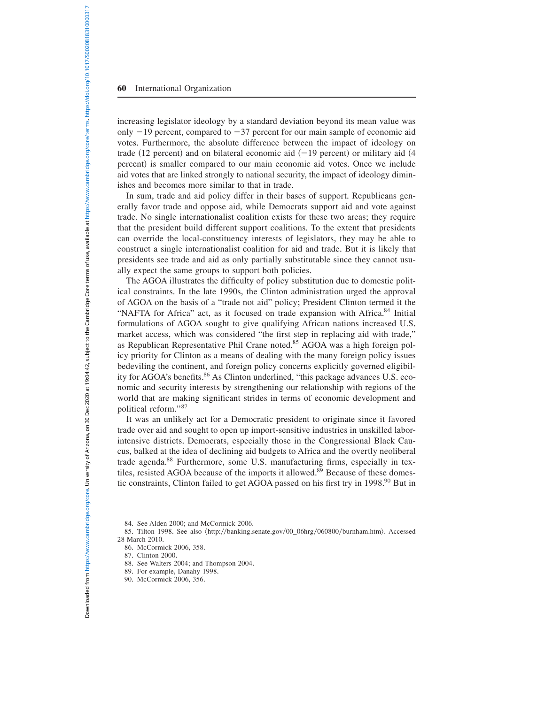increasing legislator ideology by a standard deviation beyond its mean value was only  $-19$  percent, compared to  $-37$  percent for our main sample of economic aid votes. Furthermore, the absolute difference between the impact of ideology on trade (12 percent) and on bilateral economic aid  $(-19$  percent) or military aid (4 percent) is smaller compared to our main economic aid votes. Once we include aid votes that are linked strongly to national security, the impact of ideology diminishes and becomes more similar to that in trade.

In sum, trade and aid policy differ in their bases of support. Republicans generally favor trade and oppose aid, while Democrats support aid and vote against trade. No single internationalist coalition exists for these two areas; they require that the president build different support coalitions+ To the extent that presidents can override the local-constituency interests of legislators, they may be able to construct a single internationalist coalition for aid and trade+ But it is likely that presidents see trade and aid as only partially substitutable since they cannot usually expect the same groups to support both policies.

The AGOA illustrates the difficulty of policy substitution due to domestic political constraints. In the late 1990s, the Clinton administration urged the approval of AGOA on the basis of a "trade not aid" policy; President Clinton termed it the "NAFTA for Africa" act, as it focused on trade expansion with Africa.<sup>84</sup> Initial formulations of AGOA sought to give qualifying African nations increased U.S. market access, which was considered "the first step in replacing aid with trade," as Republican Representative Phil Crane noted.<sup>85</sup> AGOA was a high foreign policy priority for Clinton as a means of dealing with the many foreign policy issues bedeviling the continent, and foreign policy concerns explicitly governed eligibility for AGOA's benefits.<sup>86</sup> As Clinton underlined, "this package advances U.S. economic and security interests by strengthening our relationship with regions of the world that are making significant strides in terms of economic development and political reform."87

It was an unlikely act for a Democratic president to originate since it favored trade over aid and sought to open up import-sensitive industries in unskilled laborintensive districts. Democrats, especially those in the Congressional Black Caucus, balked at the idea of declining aid budgets to Africa and the overtly neoliberal trade agenda.<sup>88</sup> Furthermore, some U.S. manufacturing firms, especially in textiles, resisted AGOA because of the imports it allowed.<sup>89</sup> Because of these domestic constraints, Clinton failed to get AGOA passed on his first try in 1998.<sup>90</sup> But in

- 88. See Walters 2004; and Thompson 2004.
- 89. For example, Danahy 1998.
- 90. McCormick 2006, 356.

<sup>84.</sup> See Alden 2000; and McCormick 2006.

<sup>85.</sup> Tilton 1998. See also  $\langle$ http://banking.senate.gov/00\_06hrg/060800/burnham.htm $\rangle$ . Accessed 28 March 2010.

<sup>86.</sup> McCormick 2006, 358.

<sup>87.</sup> Clinton 2000.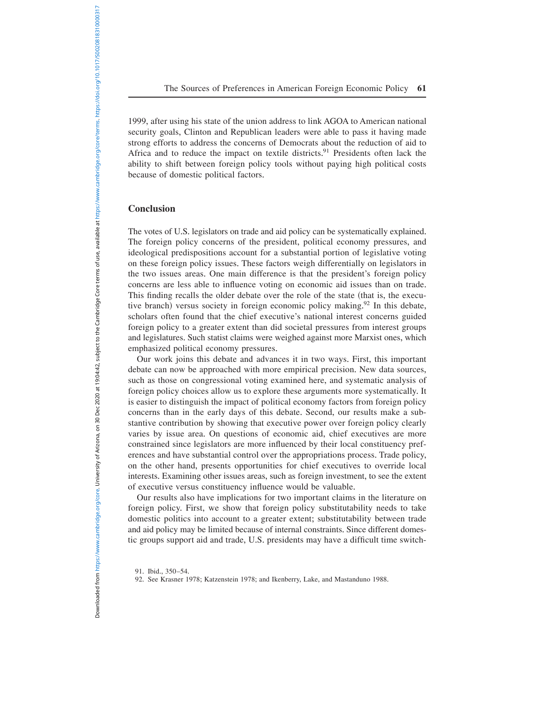1999, after using his state of the union address to link AGOA to American national security goals, Clinton and Republican leaders were able to pass it having made strong efforts to address the concerns of Democrats about the reduction of aid to Africa and to reduce the impact on textile districts.<sup>91</sup> Presidents often lack the ability to shift between foreign policy tools without paying high political costs because of domestic political factors.

## **Conclusion**

The votes of U.S. legislators on trade and aid policy can be systematically explained. The foreign policy concerns of the president, political economy pressures, and ideological predispositions account for a substantial portion of legislative voting on these foreign policy issues. These factors weigh differentially on legislators in the two issues areas. One main difference is that the president's foreign policy concerns are less able to influence voting on economic aid issues than on trade. This finding recalls the older debate over the role of the state (that is, the executive branch) versus society in foreign economic policy making.<sup>92</sup> In this debate, scholars often found that the chief executive's national interest concerns guided foreign policy to a greater extent than did societal pressures from interest groups and legislatures. Such statist claims were weighed against more Marxist ones, which emphasized political economy pressures.

Our work joins this debate and advances it in two ways. First, this important debate can now be approached with more empirical precision. New data sources, such as those on congressional voting examined here, and systematic analysis of foreign policy choices allow us to explore these arguments more systematically. It is easier to distinguish the impact of political economy factors from foreign policy concerns than in the early days of this debate. Second, our results make a substantive contribution by showing that executive power over foreign policy clearly varies by issue area. On questions of economic aid, chief executives are more constrained since legislators are more influenced by their local constituency preferences and have substantial control over the appropriations process. Trade policy, on the other hand, presents opportunities for chief executives to override local interests. Examining other issues areas, such as foreign investment, to see the extent of executive versus constituency influence would be valuable+

Our results also have implications for two important claims in the literature on foreign policy. First, we show that foreign policy substitutability needs to take domestic politics into account to a greater extent; substitutability between trade and aid policy may be limited because of internal constraints. Since different domestic groups support aid and trade, U.S. presidents may have a difficult time switch-

<sup>91.</sup> Ibid., 350–54.

<sup>92.</sup> See Krasner 1978; Katzenstein 1978; and Ikenberry, Lake, and Mastanduno 1988.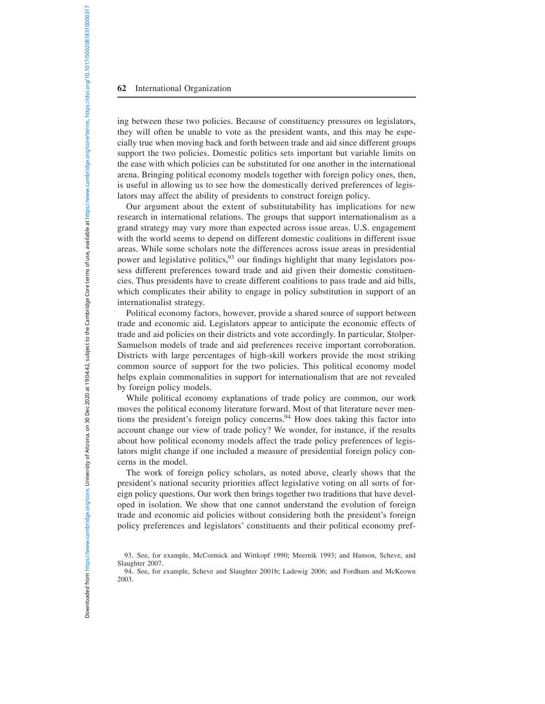ing between these two policies. Because of constituency pressures on legislators, they will often be unable to vote as the president wants, and this may be especially true when moving back and forth between trade and aid since different groups support the two policies. Domestic politics sets important but variable limits on the ease with which policies can be substituted for one another in the international arena. Bringing political economy models together with foreign policy ones, then, is useful in allowing us to see how the domestically derived preferences of legislators may affect the ability of presidents to construct foreign policy.

Our argument about the extent of substitutability has implications for new research in international relations. The groups that support internationalism as a grand strategy may vary more than expected across issue areas. U.S. engagement with the world seems to depend on different domestic coalitions in different issue areas. While some scholars note the differences across issue areas in presidential power and legislative politics, <sup>93</sup> our findings highlight that many legislators possess different preferences toward trade and aid given their domestic constituencies. Thus presidents have to create different coalitions to pass trade and aid bills, which complicates their ability to engage in policy substitution in support of an internationalist strategy.

Political economy factors, however, provide a shared source of support between trade and economic aid, Legislators appear to anticipate the economic effects of trade and aid policies on their districts and vote accordingly. In particular, Stolper-Samuelson models of trade and aid preferences receive important corroboration. Districts with large percentages of high-skill workers provide the most striking common source of support for the two policies. This political economy model helps explain commonalities in support for internationalism that are not revealed by foreign policy models.

While political economy explanations of trade policy are common, our work moves the political economy literature forward. Most of that literature never mentions the president's foreign policy concerns.<sup>94</sup> How does taking this factor into account change our view of trade policy? We wonder, for instance, if the results about how political economy models affect the trade policy preferences of legislators might change if one included a measure of presidential foreign policy concerns in the model.

The work of foreign policy scholars, as noted above, clearly shows that the president's national security priorities affect legislative voting on all sorts of foreign policy questions+ Our work then brings together two traditions that have developed in isolation. We show that one cannot understand the evolution of foreign trade and economic aid policies without considering both the president's foreign policy preferences and legislators' constituents and their political economy pref-

<sup>93.</sup> See, for example, McCormick and Wittkopf 1990; Meernik 1993; and Hanson, Scheve, and Slaughter 2007.

<sup>94.</sup> See, for example, Scheve and Slaughter 2001b; Ladewig 2006; and Fordham and McKeown 2003+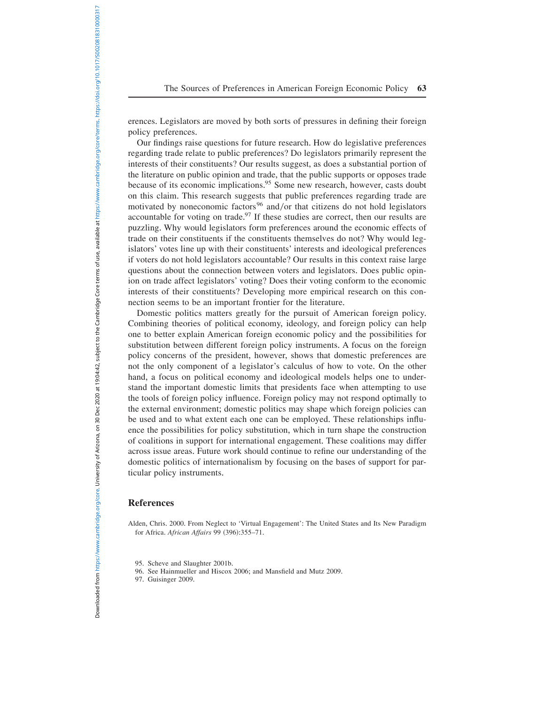erences. Legislators are moved by both sorts of pressures in defining their foreign policy preferences.

Our findings raise questions for future research. How do legislative preferences regarding trade relate to public preferences? Do legislators primarily represent the interests of their constituents? Our results suggest, as does a substantial portion of the literature on public opinion and trade, that the public supports or opposes trade because of its economic implications.<sup>95</sup> Some new research, however, casts doubt on this claim. This research suggests that public preferences regarding trade are motivated by noneconomic factors<sup>96</sup> and/or that citizens do not hold legislators accountable for voting on trade. $97$  If these studies are correct, then our results are puzzling. Why would legislators form preferences around the economic effects of trade on their constituents if the constituents themselves do not? Why would legislators' votes line up with their constituents' interests and ideological preferences if voters do not hold legislators accountable? Our results in this context raise large questions about the connection between voters and legislators. Does public opinion on trade affect legislators' voting? Does their voting conform to the economic interests of their constituents? Developing more empirical research on this connection seems to be an important frontier for the literature.

Domestic politics matters greatly for the pursuit of American foreign policy. Combining theories of political economy, ideology, and foreign policy can help one to better explain American foreign economic policy and the possibilities for substitution between different foreign policy instruments. A focus on the foreign policy concerns of the president, however, shows that domestic preferences are not the only component of a legislator's calculus of how to vote. On the other hand, a focus on political economy and ideological models helps one to understand the important domestic limits that presidents face when attempting to use the tools of foreign policy influence. Foreign policy may not respond optimally to the external environment; domestic politics may shape which foreign policies can be used and to what extent each one can be employed. These relationships influence the possibilities for policy substitution, which in turn shape the construction of coalitions in support for international engagement. These coalitions may differ across issue areas. Future work should continue to refine our understanding of the domestic politics of internationalism by focusing on the bases of support for particular policy instruments.

## **References**

Alden, Chris. 2000. From Neglect to 'Virtual Engagement': The United States and Its New Paradigm for Africa. *African Affairs* 99 (396):355-71.

- 95. Scheve and Slaughter 2001b.
- 96. See Hainmueller and Hiscox 2006; and Mansfield and Mutz 2009.
- 97. Guisinger 2009.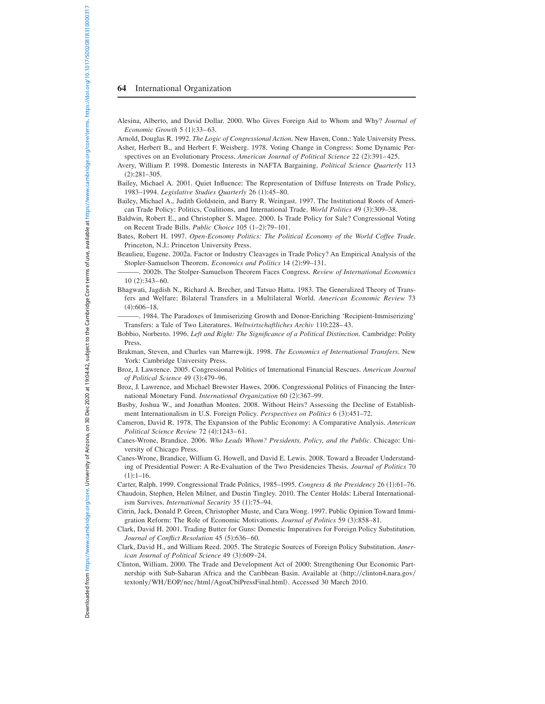Alesina, Alberto, and David Dollar. 2000. Who Gives Foreign Aid to Whom and Why? *Journal of Economic Growth* 5 (1):33–63.

Arnold, Douglas R. 1992. *The Logic of Congressional Action*. New Haven, Conn.: Yale University Press.

- Asher, Herbert B., and Herbert F. Weisberg. 1978. Voting Change in Congress: Some Dynamic Perspectives on an Evolutionary Process. *American Journal of Political Science* 22 (2):391–425.
- Avery, William P. 1998. Domestic Interests in NAFTA Bargaining. *Political Science Quarterly* 113  $(2):281-305.$
- Bailey, Michael A. 2001. Quiet Influence: The Representation of Diffuse Interests on Trade Policy, 1983–1994. *Legislative Studies Quarterly* 26 (1):45–80.
- Bailey, Michael A., Judith Goldstein, and Barry R. Weingast. 1997. The Institutional Roots of American Trade Policy: Politics, Coalitions, and International Trade. *World Politics* 49 (3):309-38.
- Baldwin, Robert E., and Christopher S. Magee. 2000. Is Trade Policy for Sale? Congressional Voting on Recent Trade Bills. *Public Choice* 105 (1–2):79–101.
- Bates, Robert H. 1997. *Open-Economy Politics: The Political Economy of the World Coffee Trade*. Princeton, N.J.: Princeton University Press.
- Beaulieu, Eugene. 2002a. Factor or Industry Cleavages in Trade Policy? An Empirical Analysis of the Stopler-Samuelson Theorem. *Economics and Politics* 14 (2):99–131.
- -. 2002b. The Stolper-Samuelson Theorem Faces Congress. *Review of International Economics*  $10 (2):343-60.$
- Bhagwati, Jagdish N., Richard A. Brecher, and Tatsuo Hatta, 1983. The Generalized Theory of Transfers and Welfare: Bilateral Transfers in a Multilateral World+ *American Economic Review* 73  $(4):606-18.$
- -. 1984. The Paradoxes of Immiserizing Growth and Donor-Enriching 'Recipient-Immiserizing' Transfers: a Tale of Two Literatures. Weltwirtschaftliches Archiv 110:228-43.
- Bobbio, Norberto. 1996. *Left and Right: The Significance of a Political Distinction*. Cambridge: Polity Press.
- Brakman, Steven, and Charles van Marrewijk. 1998. *The Economics of International Transfers*. New York: Cambridge University Press.
- Broz, J. Lawrence. 2005. Congressional Politics of International Financial Rescues. *American Journal of Political Science* 49 (3):479–96.
- Broz, J. Lawrence, and Michael Brewster Hawes. 2006. Congressional Politics of Financing the International Monetary Fund. *International Organization* 60 (2):367–99.
- Busby, Joshua W., and Jonathan Monten, 2008. Without Heirs? Assessing the Decline of Establishment Internationalism in U.S. Foreign Policy. *Perspectives on Politics* 6 (3):451–72.
- Cameron, David R+ 1978+ The Expansion of the Public Economy: A Comparative Analysis+ *American Political Science Review 72 (4):1243-61.*
- Canes-Wrone, Brandice. 2006. *Who Leads Whom? Presidents, Policy, and the Public*. Chicago: University of Chicago Press.
- Canes-Wrone, Brandice, William G. Howell, and David E. Lewis, 2008. Toward a Broader Understanding of Presidential Power: A Re-Evaluation of the Two Presidencies Thesis+ *Journal of Politics* 70  $(1):1-16.$
- Carter, Ralph. 1999. Congressional Trade Politics, 1985–1995. *Congress & the Presidency* 26 (1):61–76.
- Chaudoin, Stephen, Helen Milner, and Dustin Tingley, 2010. The Center Holds: Liberal Internationalism Survives. *International Security* 35 (1):75–94.
- Citrin, Jack, Donald P. Green, Christopher Muste, and Cara Wong. 1997. Public Opinion Toward Immigration Reform: The Role of Economic Motivations. *Journal of Politics* 59 (3):858–81.
- Clark, David H. 2001. Trading Butter for Guns: Domestic Imperatives for Foreign Policy Substitution. *Journal of Conflict Resolution* 45 (5):636-60.
- Clark, David H., and William Reed. 2005. The Strategic Sources of Foreign Policy Substitution. *American Journal of Political Science* 49 (3):609-24.
- Clinton, William. 2000. The Trade and Development Act of 2000: Strengthening Our Economic Partnership with Sub-Saharan Africa and the Caribbean Basin. Available at  $\langle$ http://clinton4.nara.gov/ textonly/WH/EOP/nec/html/AgoaCbiPressFinal.html). Accessed 30 March 2010.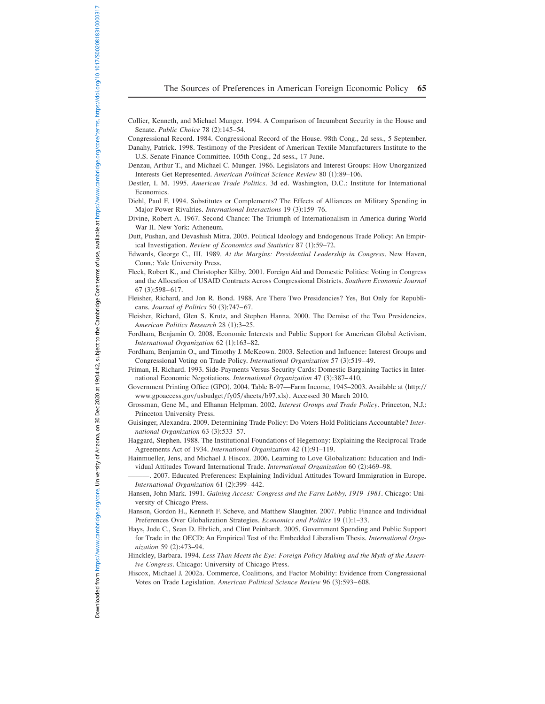Collier, Kenneth, and Michael Munger. 1994. A Comparison of Incumbent Security in the House and Senate. *Public Choice* 78 (2):145–54.

Congressional Record. 1984. Congressional Record of the House. 98th Cong., 2d sess., 5 September.

Danahy, Patrick. 1998. Testimony of the President of American Textile Manufacturers Institute to the U.S. Senate Finance Committee. 105th Cong., 2d sess., 17 June.

- Denzau, Arthur T., and Michael C. Munger. 1986. Legislators and Interest Groups: How Unorganized Interests Get Represented. *American Political Science Review* 80 (1):89–106.
- Destler, I. M. 1995. *American Trade Politics*. 3d ed. Washington, D.C.: Institute for International Economics.
- Diehl, Paul F, 1994. Substitutes or Complements? The Effects of Alliances on Military Spending in Major Power Rivalries. *International Interactions* 19 (3):159–76.
- Divine, Robert A. 1967. Second Chance: The Triumph of Internationalism in America during World War II. New York: Atheneum.
- Dutt, Pushan, and Devashish Mitra. 2005. Political Ideology and Endogenous Trade Policy: An Empirical Investigation. *Review of Economics and Statistics* 87 (1):59–72.
- Edwards, George C., III. 1989. At the Margins: Presidential Leadership in Congress. New Haven, Conn.: Yale University Press.
- Fleck, Robert K., and Christopher Kilby. 2001. Foreign Aid and Domestic Politics: Voting in Congress and the Allocation of USAID Contracts Across Congressional Districts+ *Southern Economic Journal*  $67 (3):598-617.$
- Fleisher, Richard, and Jon R. Bond. 1988. Are There Two Presidencies? Yes, But Only for Republicans. *Journal of Politics* 50 (3):747–67.
- Fleisher, Richard, Glen S. Krutz, and Stephen Hanna. 2000. The Demise of the Two Presidencies. *American Politics Research* 28 (1):3–25.
- Fordham, Benjamin O. 2008. Economic Interests and Public Support for American Global Activism. *International Organization* 62 (1):163-82.
- Fordham, Benjamin O., and Timothy J. McKeown. 2003. Selection and Influence: Interest Groups and Congressional Voting on Trade Policy. *International Organization* 57 (3):519–49.
- Friman, H. Richard. 1993. Side-Payments Versus Security Cards: Domestic Bargaining Tactics in International Economic Negotiations. *International Organization* 47 (3):387–410.
- Government Printing Office (GPO). 2004. Table B-97—Farm Income, 1945–2003. Available at  $\langle \text{http://}\rangle$ www.gpoaccess.gov/usbudget/fy05/sheets/b97.xls). Accessed 30 March 2010.
- Grossman, Gene M., and Elhanan Helpman. 2002. *Interest Groups and Trade Policy*. Princeton, N.J.: Princeton University Press.
- Guisinger, Alexandra+ 2009+ Determining Trade Policy: Do Voters Hold Politicians Accountable? *International Organization* 63 (3):533-57.
- Haggard, Stephen. 1988. The Institutional Foundations of Hegemony: Explaining the Reciprocal Trade Agreements Act of 1934. *International Organization* 42 (1):91-119.
- Hainmueller, Jens, and Michael J. Hiscox. 2006. Learning to Love Globalization: Education and Individual Attitudes Toward International Trade. *International Organization* 60 (2):469–98.

- Hansen, John Mark. 1991. *Gaining Access: Congress and the Farm Lobby, 1919–1981*. Chicago: University of Chicago Press.
- Hanson, Gordon H., Kenneth F. Scheve, and Matthew Slaughter. 2007. Public Finance and Individual Preferences Over Globalization Strategies. *Economics and Politics* 19 (1):1–33.
- Hays, Jude C., Sean D. Ehrlich, and Clint Peinhardt. 2005. Government Spending and Public Support for Trade in the OECD: An Empirical Test of the Embedded Liberalism Thesis+ *International Organization* 59 (2):473-94.
- Hinckley, Barbara. 1994. Less Than Meets the Eye: Foreign Policy Making and the Myth of the Assert*ive Congress*. Chicago: University of Chicago Press.
- Hiscox, Michael J. 2002a. Commerce, Coalitions, and Factor Mobility: Evidence from Congressional Votes on Trade Legislation. *American Political Science Review* 96 (3):593–608.

<sup>-, 2007.</sup> Educated Preferences: Explaining Individual Attitudes Toward Immigration in Europe. *International Organization* 61 (2):399-442.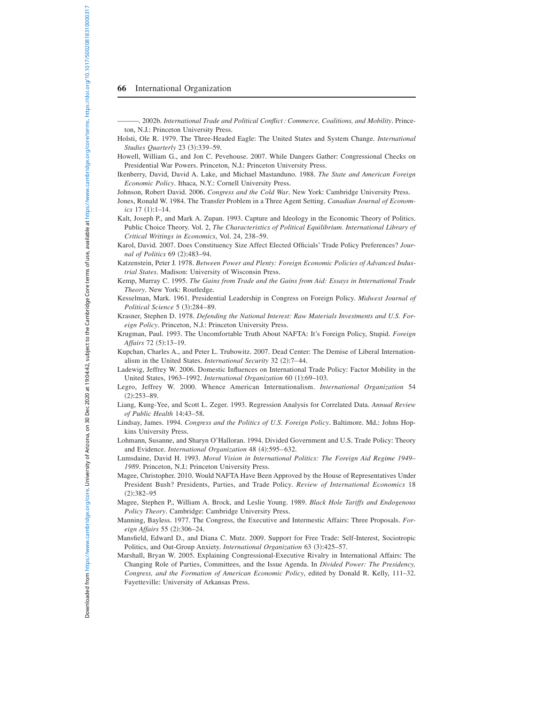———+ 2002b+ *International Trade and Political Conflict : Commerce, Coalitions, and Mobility*+ Princeton, N.J.: Princeton University Press.

- Holsti, Ole R. 1979. The Three-Headed Eagle: The United States and System Change. *International Studies Quarterly* 23 (3):339–59.
- Howell, William G., and Jon C. Pevehouse. 2007. While Dangers Gather: Congressional Checks on Presidential War Powers. Princeton, N.J.: Princeton University Press.
- Ikenberry, David, David A+ Lake, and Michael Mastanduno+ 1988+ *The State and American Foreign Economic Policy*. Ithaca, N.Y.: Cornell University Press.

Johnson, Robert David. 2006. *Congress and the Cold War*. New York: Cambridge University Press.

- Jones, Ronald W. 1984. The Transfer Problem in a Three Agent Setting. *Canadian Journal of Economics* 17 (1):1-14.
- Kalt, Joseph P., and Mark A. Zupan. 1993. Capture and Ideology in the Economic Theory of Politics. Public Choice Theory+ Vol+ 2, *The Characteristics of Political Equilibrium. International Library of Critical Writings in Economics*, Vol. 24, 238–59.
- Karol, David+ 2007+ Does Constituency Size Affect Elected Officials' Trade Policy Preferences? *Journal of Politics* 69 (2):483-94.

Katzenstein, Peter J. 1978. *Between Power and Plenty: Foreign Economic Policies of Advanced Industrial States*, Madison: University of Wisconsin Press.

- Kemp, Murray C. 1995. *The Gains from Trade and the Gains from Aid: Essays in International Trade Theory*, New York: Routledge,
- Kesselman, Mark. 1961. Presidential Leadership in Congress on Foreign Policy. Midwest Journal of *Political Science* 5 (3):284-89.
- Krasner, Stephen D. 1978. Defending the National Interest: Raw Materials Investments and U.S. For*eign Policy*. Princeton, N.J.: Princeton University Press.
- Krugman, Paul. 1993. The Uncomfortable Truth About NAFTA: It's Foreign Policy, Stupid. *Foreign Affairs* 72 (5):13–19.
- Kupchan, Charles A., and Peter L. Trubowitz. 2007. Dead Center: The Demise of Liberal Internationalism in the United States. *International Security* 32 (2):7–44.
- Ladewig, Jeffrey W. 2006. Domestic Influences on International Trade Policy: Factor Mobility in the United States, 1963–1992. *International Organization* 60 (1):69–103.
- Legro, Jeffrey W. 2000. Whence American Internationalism. *International Organization* 54  $(2):253-89.$
- Liang, Kung-Yee, and Scott L+ Zeger+ 1993+ Regression Analysis for Correlated Data+ *Annual Review of Public Health* 14:43–58+
- Lindsay, James. 1994. *Congress and the Politics of U.S. Foreign Policy*. Baltimore. Md.: Johns Hopkins University Press.
- Lohmann, Susanne, and Sharyn O'Halloran. 1994. Divided Government and U.S. Trade Policy: Theory and Evidence. *International Organization* 48 (4):595–632.
- Lumsdaine, David H. 1993. *Moral Vision in International Politics: The Foreign Aid Regime 1949–* 1989. Princeton, N.J.: Princeton University Press.
- Magee, Christopher, 2010. Would NAFTA Have Been Approved by the House of Representatives Under President Bush? Presidents, Parties, and Trade Policy+ *Review of International Economics* 18  $(2):382-95$
- Magee, Stephen P., William A. Brock, and Leslie Young. 1989. *Black Hole Tariffs and Endogenous* Policy Theory. Cambridge: Cambridge University Press.
- Manning, Bayless. 1977. The Congress, the Executive and Intermestic Affairs: Three Proposals. *Foreign Affairs* 55 (2):306–24.
- Mansfield, Edward D., and Diana C. Mutz. 2009. Support for Free Trade: Self-Interest, Sociotropic Politics, and Out-Group Anxiety. *International Organization* 63 (3):425–57.
- Marshall, Bryan W. 2005. Explaining Congressional-Executive Rivalry in International Affairs: The Changing Role of Parties, Committees, and the Issue Agenda+ In *Divided Power: The Presidency, Congress, and the Formation of American Economic Policy*, edited by Donald R. Kelly, 111-32. Fayetteville: University of Arkansas Press.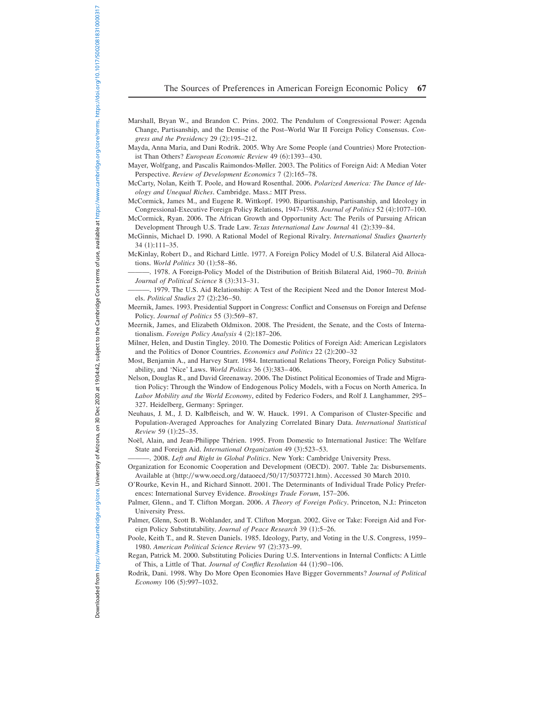Marshall, Bryan W., and Brandon C. Prins. 2002. The Pendulum of Congressional Power: Agenda Change, Partisanship, and the Demise of the Post–World War II Foreign Policy Consensus+ *Con*gress and the Presidency 29 (2):195-212.

Mayda, Anna Maria, and Dani Rodrik. 2005. Why Are Some People (and Countries) More Protectionist Than Others? *European Economic Review* 49 (6):1393-430.

Mayer, Wolfgang, and Pascalis Raimondos-Møller. 2003. The Politics of Foreign Aid: A Median Voter Perspective. *Review of Development Economics* 7 (2):165–78.

McCarty, Nolan, Keith T. Poole, and Howard Rosenthal. 2006. *Polarized America: The Dance of Ideology and Unequal Riches*. Cambridge. Mass.: MIT Press.

- McCormick, James M., and Eugene R. Wittkopf. 1990. Bipartisanship, Partisanship, and Ideology in Congressional-Executive Foreign Policy Relations, 1947–1988. *Journal of Politics* 52 (4):1077–100.
- McCormick, Ryan. 2006. The African Growth and Opportunity Act: The Perils of Pursuing African Development Through U.S. Trade Law. *Texas International Law Journal* 41 (2):339–84.
- McGinnis, Michael D. 1990. A Rational Model of Regional Rivalry. *International Studies Quarterly*  $34$   $(1):111-35$ .
- McKinlay, Robert D., and Richard Little. 1977. A Foreign Policy Model of U.S. Bilateral Aid Allocations. *World Politics* 30 (1):58-86.
	- ———+ 1978+ A Foreign-Policy Model of the Distribution of British Bilateral Aid, 1960–70+ *British Journal of Political Science* 8 (3):313-31.
- —, 1979. The U.S. Aid Relationship: A Test of the Recipient Need and the Donor Interest Models. *Political Studies* 27 (2):236-50.
- Meernik, James. 1993. Presidential Support in Congress: Conflict and Consensus on Foreign and Defense Policy. *Journal of Politics* 55 (3):569-87.
- Meernik, James, and Elizabeth Oldmixon. 2008. The President, the Senate, and the Costs of Internationalism. *Foreign Policy Analysis* 4 (2):187-206.
- Milner, Helen, and Dustin Tingley. 2010. The Domestic Politics of Foreign Aid: American Legislators and the Politics of Donor Countries. *Economics and Politics* 22 (2):200–32
- Most, Benjamin A., and Harvey Starr. 1984. International Relations Theory, Foreign Policy Substitutability, and 'Nice' Laws. *World Politics* 36 (3):383-406.
- Nelson, Douglas R., and David Greenaway. 2006. The Distinct Political Economies of Trade and Migration Policy: Through the Window of Endogenous Policy Models, with a Focus on North America. In Labor Mobility and the World Economy, edited by Federico Foders, and Rolf J. Langhammer, 295– 327. Heidelberg, Germany: Springer.
- Neuhaus, J. M., J. D. Kalbfleisch, and W. W. Hauck. 1991. A Comparison of Cluster-Specific and Population-Averaged Approaches for Analyzing Correlated Binary Data. *International Statistical Review* 59 (1):25–35.
- Noël, Alain, and Jean-Philippe Thérien. 1995. From Domestic to International Justice: The Welfare State and Foreign Aid. *International Organization* 49 (3):523–53.

—. 2008. Left and Right in Global Politics. New York: Cambridge University Press.

- Organization for Economic Cooperation and Development (OECD). 2007. Table 2a: Disbursements. Available at  $\langle$ http://www.oecd.org/dataoecd/50/17/5037721.htm $\rangle$ . Accessed 30 March 2010.
- O'Rourke, Kevin H., and Richard Sinnott. 2001. The Determinants of Individual Trade Policy Preferences: International Survey Evidence, *Brookings Trade Forum*, 157–206.
- Palmer, Glenn., and T. Clifton Morgan. 2006. *A Theory of Foreign Policy*. Princeton, N.J.: Princeton University Press.
- Palmer, Glenn, Scott B, Wohlander, and T. Clifton Morgan, 2002. Give or Take: Foreign Aid and Foreign Policy Substitutability. *Journal of Peace Research* 39 (1):5–26.
- Poole, Keith T., and R. Steven Daniels. 1985. Ideology, Party, and Voting in the U.S. Congress, 1959– 1980, *American Political Science Review* 97 (2):373–99.
- Regan, Patrick M. 2000. Substituting Policies During U.S. Interventions in Internal Conflicts: A Little of This, a Little of That. *Journal of Conflict Resolution* 44 (1):90–106.
- Rodrik, Dani. 1998. Why Do More Open Economies Have Bigger Governments? *Journal of Political Economy* 106 (5):997-1032.